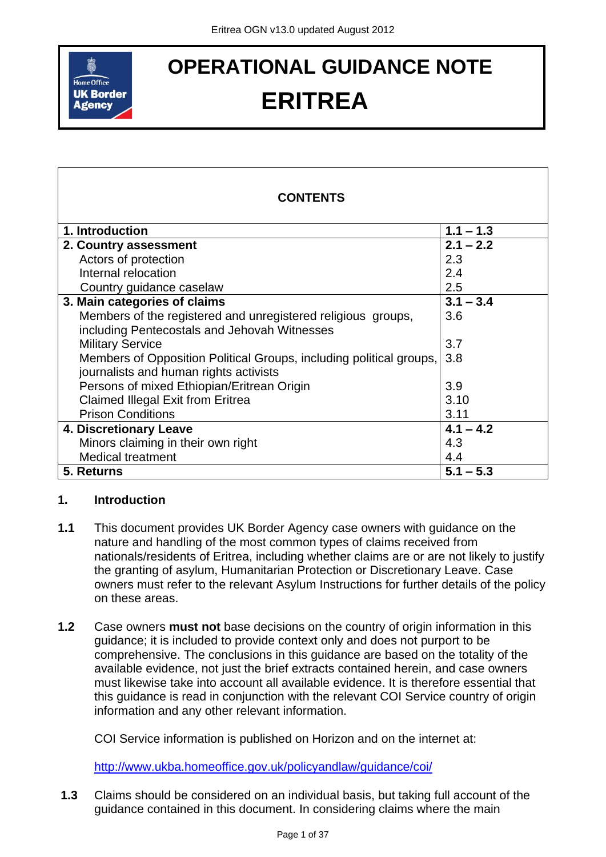

# **ERITREA**

| <b>OPERATIONAL GUIDANCE NOTE</b><br><b>Home Office</b> |                                                                                                                                                                                                                                                                                                                                                                                                                                                                                                                                                                                      |                        |  |
|--------------------------------------------------------|--------------------------------------------------------------------------------------------------------------------------------------------------------------------------------------------------------------------------------------------------------------------------------------------------------------------------------------------------------------------------------------------------------------------------------------------------------------------------------------------------------------------------------------------------------------------------------------|------------------------|--|
|                                                        | <b>UK Border</b><br><b>ERITREA</b><br><b>Agency</b>                                                                                                                                                                                                                                                                                                                                                                                                                                                                                                                                  |                        |  |
|                                                        |                                                                                                                                                                                                                                                                                                                                                                                                                                                                                                                                                                                      |                        |  |
|                                                        | <b>CONTENTS</b>                                                                                                                                                                                                                                                                                                                                                                                                                                                                                                                                                                      |                        |  |
|                                                        | 1. Introduction                                                                                                                                                                                                                                                                                                                                                                                                                                                                                                                                                                      | $1.1 - 1.3$            |  |
|                                                        | 2. Country assessment                                                                                                                                                                                                                                                                                                                                                                                                                                                                                                                                                                | $2.1 - 2.2$            |  |
|                                                        | Actors of protection                                                                                                                                                                                                                                                                                                                                                                                                                                                                                                                                                                 | 2.3                    |  |
|                                                        | Internal relocation                                                                                                                                                                                                                                                                                                                                                                                                                                                                                                                                                                  | 2.4                    |  |
|                                                        | Country guidance caselaw                                                                                                                                                                                                                                                                                                                                                                                                                                                                                                                                                             | 2.5                    |  |
|                                                        | 3. Main categories of claims                                                                                                                                                                                                                                                                                                                                                                                                                                                                                                                                                         | $3.1 - 3.4$            |  |
|                                                        | Members of the registered and unregistered religious groups,                                                                                                                                                                                                                                                                                                                                                                                                                                                                                                                         | 3.6                    |  |
|                                                        | including Pentecostals and Jehovah Witnesses<br><b>Military Service</b>                                                                                                                                                                                                                                                                                                                                                                                                                                                                                                              | 3.7                    |  |
|                                                        | Members of Opposition Political Groups, including political groups,                                                                                                                                                                                                                                                                                                                                                                                                                                                                                                                  | 3.8                    |  |
|                                                        | journalists and human rights activists                                                                                                                                                                                                                                                                                                                                                                                                                                                                                                                                               |                        |  |
|                                                        | Persons of mixed Ethiopian/Eritrean Origin                                                                                                                                                                                                                                                                                                                                                                                                                                                                                                                                           | 3.9                    |  |
|                                                        | <b>Claimed Illegal Exit from Eritrea</b>                                                                                                                                                                                                                                                                                                                                                                                                                                                                                                                                             | 3.10                   |  |
|                                                        | <b>Prison Conditions</b>                                                                                                                                                                                                                                                                                                                                                                                                                                                                                                                                                             | 3.11                   |  |
|                                                        | 4. Discretionary Leave                                                                                                                                                                                                                                                                                                                                                                                                                                                                                                                                                               | $4.1 - 4.2$            |  |
|                                                        | Minors claiming in their own right                                                                                                                                                                                                                                                                                                                                                                                                                                                                                                                                                   | 4.3                    |  |
|                                                        | <b>Medical treatment</b>                                                                                                                                                                                                                                                                                                                                                                                                                                                                                                                                                             | 4.4                    |  |
|                                                        | 5. Returns                                                                                                                                                                                                                                                                                                                                                                                                                                                                                                                                                                           | $\overline{5.1} - 5.3$ |  |
| 1.                                                     | <b>Introduction</b>                                                                                                                                                                                                                                                                                                                                                                                                                                                                                                                                                                  |                        |  |
| 1.1                                                    | This document provides UK Border Agency case owners with guidance on the<br>nature and handling of the most common types of claims received from<br>nationals/residents of Eritrea, including whether claims are or are not likely to justify<br>the granting of asylum, Humanitarian Protection or Discretionary Leave. Case<br>owners must refer to the relevant Asylum Instructions for further details of the policy<br>on these areas.                                                                                                                                          |                        |  |
| 1.2                                                    | Case owners <b>must not</b> base decisions on the country of origin information in this<br>guidance; it is included to provide context only and does not purport to be<br>comprehensive. The conclusions in this guidance are based on the totality of the<br>available evidence, not just the brief extracts contained herein, and case owners<br>must likewise take into account all available evidence. It is therefore essential that<br>this guidance is read in conjunction with the relevant COI Service country of origin<br>information and any other relevant information. |                        |  |
|                                                        | COI Service information is published on Horizon and on the internet at:                                                                                                                                                                                                                                                                                                                                                                                                                                                                                                              |                        |  |
|                                                        | http://www.ukba.homeoffice.gov.uk/policyandlaw/guidance/coi/                                                                                                                                                                                                                                                                                                                                                                                                                                                                                                                         |                        |  |
| 1.3                                                    | Claims should be considered on an individual basis, but taking full account of the<br>guidance contained in this document. In considering claims where the main                                                                                                                                                                                                                                                                                                                                                                                                                      |                        |  |

#### <span id="page-0-0"></span>**1. Introduction**

- **1.1** This document provides UK Border Agency case owners with guidance on the nature and handling of the most common types of claims received from nationals/residents of Eritrea, including whether claims are or are not likely to justify the granting of asylum, Humanitarian Protection or Discretionary Leave. Case owners must refer to the relevant Asylum Instructions for further details of the policy on these areas.
- **1.2** Case owners **must not** base decisions on the country of origin information in this guidance; it is included to provide context only and does not purport to be comprehensive. The conclusions in this guidance are based on the totality of the available evidence, not just the brief extracts contained herein, and case owners must likewise take into account all available evidence. It is therefore essential that this guidance is read in conjunction with the relevant COI Service country of origin information and any other relevant information.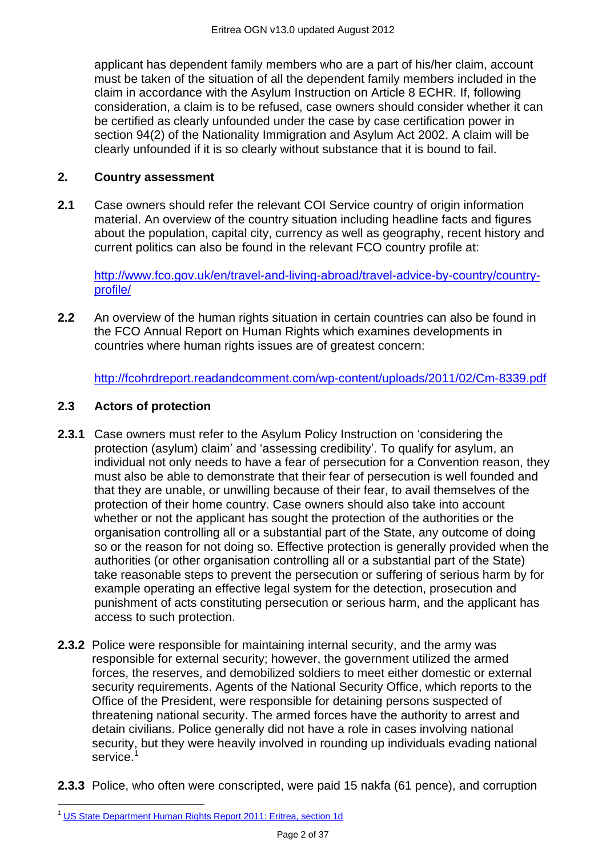applicant has dependent family members who are a part of his/her claim, account must be taken of the situation of all the dependent family members included in the claim in accordance with the Asylum Instruction on Article 8 ECHR. If, following consideration, a claim is to be refused, case owners should consider whether it can be certified as clearly unfounded under the case by case certification power in section 94(2) of the Nationality Immigration and Asylum Act 2002. A claim will be clearly unfounded if it is so clearly without substance that it is bound to fail.

#### <span id="page-1-0"></span>**2. Country assessment**

**2.1** Case owners should refer the relevant COI Service country of origin information material. An overview of the country situation including headline facts and figures about the population, capital city, currency as well as geography, recent history and current politics can also be found in the relevant FCO country profile at:

[http://www.fco.gov.uk/en/travel-and-living-abroad/travel-advice-by-country/country](http://www.fco.gov.uk/en/travel-and-living-abroad/travel-advice-by-country/country-profile/)[profile/](http://www.fco.gov.uk/en/travel-and-living-abroad/travel-advice-by-country/country-profile/)

**2.2** An overview of the human rights situation in certain countries can also be found in the FCO Annual Report on Human Rights which examines developments in countries where human rights issues are of greatest concern:

<span id="page-1-1"></span><http://fcohrdreport.readandcomment.com/wp-content/uploads/2011/02/Cm-8339.pdf>

#### **2.3 Actors of protection**

- **2.3.1** Case owners must refer to the Asylum Policy Instruction on 'considering the protection (asylum) claim' and ‗assessing credibility'. To qualify for asylum, an individual not only needs to have a fear of persecution for a Convention reason, they must also be able to demonstrate that their fear of persecution is well founded and that they are unable, or unwilling because of their fear, to avail themselves of the protection of their home country. Case owners should also take into account whether or not the applicant has sought the protection of the authorities or the organisation controlling all or a substantial part of the State, any outcome of doing so or the reason for not doing so. Effective protection is generally provided when the authorities (or other organisation controlling all or a substantial part of the State) take reasonable steps to prevent the persecution or suffering of serious harm by for example operating an effective legal system for the detection, prosecution and punishment of acts constituting persecution or serious harm, and the applicant has access to such protection.
- **2.3.2** Police were responsible for maintaining internal security, and the army was responsible for external security; however, the government utilized the armed forces, the reserves, and demobilized soldiers to meet either domestic or external security requirements. Agents of the National Security Office, which reports to the Office of the President, were responsible for detaining persons suspected of threatening national security. The armed forces have the authority to arrest and detain civilians. Police generally did not have a role in cases involving national security, but they were heavily involved in rounding up individuals evading national service.<sup>1</sup>
- **2.3.3** Police, who often were conscripted, were paid 15 nakfa (61 pence), and corruption

 $\overline{a}$ <sup>1</sup> [US State Department Human Rights Report 2011: Eritrea, section 1d](http://www.state.gov/j/drl/rls/hrrpt/humanrightsreport/index.htm?dlid=186194#wrapper)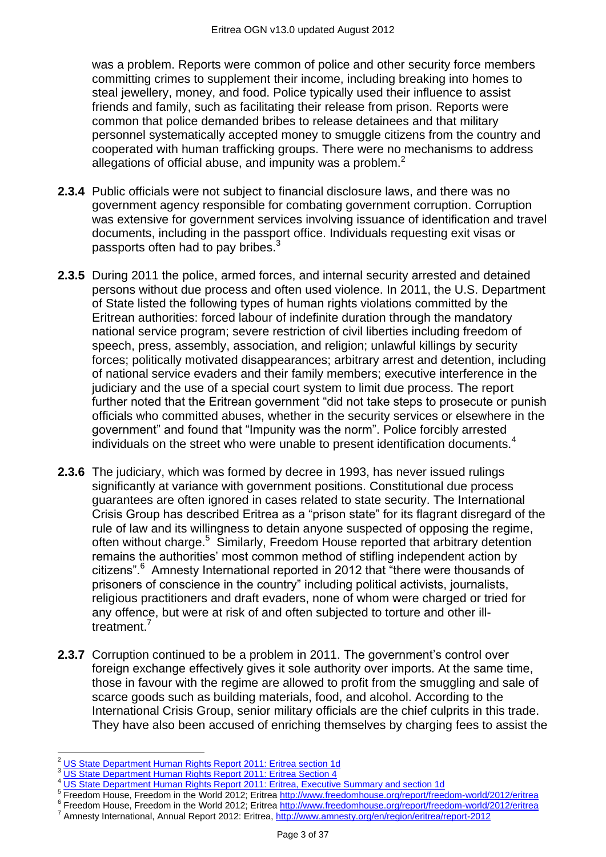was a problem. Reports were common of police and other security force members committing crimes to supplement their income, including breaking into homes to steal jewellery, money, and food. Police typically used their influence to assist friends and family, such as facilitating their release from prison. Reports were common that police demanded bribes to release detainees and that military personnel systematically accepted money to smuggle citizens from the country and cooperated with human trafficking groups. There were no mechanisms to address allegations of official abuse, and impunity was a problem.<sup>2</sup>

- **2.3.4** Public officials were not subject to financial disclosure laws, and there was no government agency responsible for combating government corruption. Corruption was extensive for government services involving issuance of identification and travel documents, including in the passport office. Individuals requesting exit visas or passports often had to pay bribes.<sup>3</sup>
- **2.3.5** During 2011 the police, armed forces, and internal security arrested and detained persons without due process and often used violence. In 2011, the U.S. Department of State listed the following types of human rights violations committed by the Eritrean authorities: forced labour of indefinite duration through the mandatory national service program; severe restriction of civil liberties including freedom of speech, press, assembly, association, and religion; unlawful killings by security forces; politically motivated disappearances; arbitrary arrest and detention, including of national service evaders and their family members; executive interference in the judiciary and the use of a special court system to limit due process. The report further noted that the Eritrean government "did not take steps to prosecute or punish officials who committed abuses, whether in the security services or elsewhere in the government" and found that "Impunity was the norm". Police forcibly arrested individuals on the street who were unable to present identification documents.<sup>4</sup>
- **2.3.6** The judiciary, which was formed by decree in 1993, has never issued rulings significantly at variance with government positions. Constitutional due process guarantees are often ignored in cases related to state security. The International Crisis Group has described Eritrea as a "prison state" for its flagrant disregard of the rule of law and its willingness to detain anyone suspected of opposing the regime, often without charge.<sup>5</sup> Similarly, Freedom House reported that arbitrary detention remains the authorities' most common method of stifling independent action by citizens".<sup>6</sup> Amnesty International reported in 2012 that "there were thousands of prisoners of conscience in the country" including political activists, journalists, religious practitioners and draft evaders, none of whom were charged or tried for any offence, but were at risk of and often subjected to torture and other illtreatment.<sup>7</sup>
- **2.3.7** Corruption continued to be a problem in 2011. The government's control over foreign exchange effectively gives it sole authority over imports. At the same time, those in favour with the regime are allowed to profit from the smuggling and sale of scarce goods such as building materials, food, and alcohol. According to the International Crisis Group, senior military officials are the chief culprits in this trade. They have also been accused of enriching themselves by charging fees to assist the

<sup>6</sup> Freedom House, Freedom in the World 2012; Eritrea<http://www.freedomhouse.org/report/freedom-world/2012/eritrea>

 $\overline{a}$ <sup>2</sup> [US State Department Human Rights Report 2011: Eritrea section 1d](http://www.state.gov/j/drl/rls/hrrpt/humanrightsreport/index.htm?dlid=186194#wrapper)

<sup>&</sup>lt;sup>3</sup> [US State Department Human Rights Report 2011: Eritrea Section 4](http://www.state.gov/j/drl/rls/hrrpt/humanrightsreport/index.htm?dlid=186194#wrapper)

<sup>&</sup>lt;sup>4</sup> [US State Department Human Rights Report 2011: Eritrea, Executive Summary and section 1d](http://www.state.gov/j/drl/rls/hrrpt/humanrightsreport/index.htm?dlid=186194#wrapper)

<sup>5</sup> Freedom House, Freedom in the World 2012; Eritrea<http://www.freedomhouse.org/report/freedom-world/2012/eritrea>

Amnesty International, Annual Report 2012: Eritrea, <http://www.amnesty.org/en/region/eritrea/report-2012>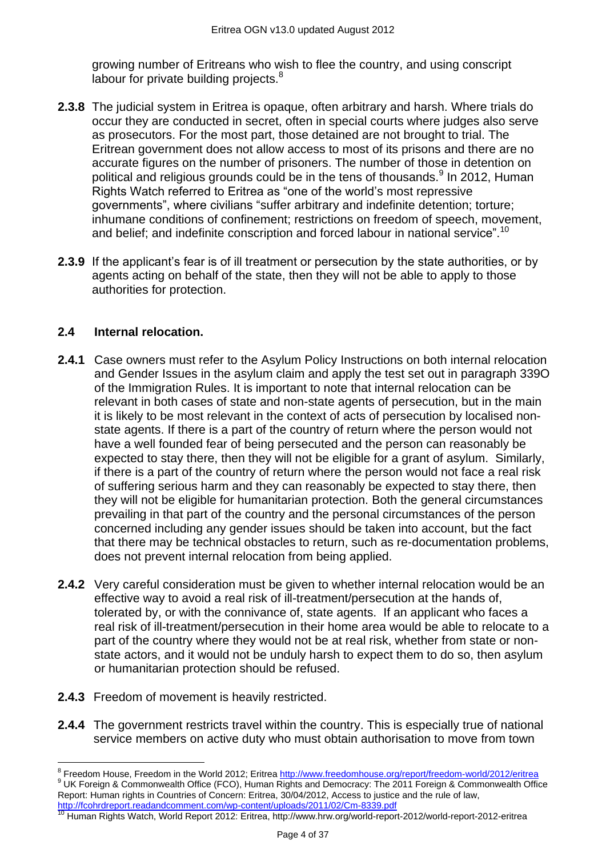growing number of Eritreans who wish to flee the country, and using conscript labour for private building projects. $8$ 

- **2.3.8** The judicial system in Eritrea is opaque, often arbitrary and harsh. Where trials do occur they are conducted in secret, often in special courts where judges also serve as prosecutors. For the most part, those detained are not brought to trial. The Eritrean government does not allow access to most of its prisons and there are no accurate figures on the number of prisoners. The number of those in detention on political and religious grounds could be in the tens of thousands.<sup>9</sup> In 2012, Human Rights Watch referred to Eritrea as "one of the world's most repressive governments", where civilians "suffer arbitrary and indefinite detention; torture; inhumane conditions of confinement; restrictions on freedom of speech, movement, and belief; and indefinite conscription and forced labour in national service".<sup>10</sup>
- **2.3.9** If the applicant's fear is of ill treatment or persecution by the state authorities, or by agents acting on behalf of the state, then they will not be able to apply to those authorities for protection.

# <span id="page-3-0"></span>**2.4 Internal relocation.**

- **2.4.1** Case owners must refer to the Asylum Policy Instructions on both internal relocation and Gender Issues in the asylum claim and apply the test set out in paragraph 339O of the Immigration Rules. It is important to note that internal relocation can be relevant in both cases of state and non-state agents of persecution, but in the main it is likely to be most relevant in the context of acts of persecution by localised nonstate agents. If there is a part of the country of return where the person would not have a well founded fear of being persecuted and the person can reasonably be expected to stay there, then they will not be eligible for a grant of asylum. Similarly, if there is a part of the country of return where the person would not face a real risk of suffering serious harm and they can reasonably be expected to stay there, then they will not be eligible for humanitarian protection. Both the general circumstances prevailing in that part of the country and the personal circumstances of the person concerned including any gender issues should be taken into account, but the fact that there may be technical obstacles to return, such as re-documentation problems, does not prevent internal relocation from being applied.
- **2.4.2** Very careful consideration must be given to whether internal relocation would be an effective way to avoid a real risk of ill-treatment/persecution at the hands of, tolerated by, or with the connivance of, state agents. If an applicant who faces a real risk of ill-treatment/persecution in their home area would be able to relocate to a part of the country where they would not be at real risk, whether from state or nonstate actors, and it would not be unduly harsh to expect them to do so, then asylum or humanitarian protection should be refused.
- **2.4.3** Freedom of movement is heavily restricted.
- **2.4.4** The government restricts travel within the country. This is especially true of national service members on active duty who must obtain authorisation to move from town

 8 Freedom House, Freedom in the World 2012; Eritrea<http://www.freedomhouse.org/report/freedom-world/2012/eritrea> <sup>9</sup> UK Foreign & Commonwealth Office (FCO), Human Rights and Democracy: The 2011 Foreign & Commonwealth Office Report: Human rights in Countries of Concern: Eritrea, 30/04/2012, Access to justice and the rule of law, <http://fcohrdreport.readandcomment.com/wp-content/uploads/2011/02/Cm-8339.pdf>

<sup>&</sup>lt;sup>10</sup> Human Rights Watch, World Report 2012: Eritrea, http://www.hrw.org/world-report-2012/world-report-2012-eritrea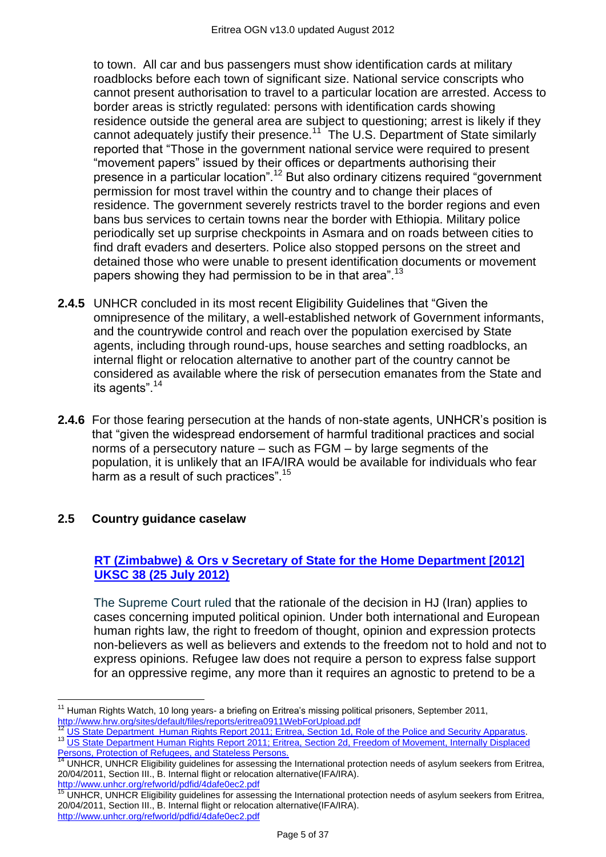to town. All car and bus passengers must show identification cards at military roadblocks before each town of significant size. National service conscripts who cannot present authorisation to travel to a particular location are arrested. Access to border areas is strictly regulated: persons with identification cards showing residence outside the general area are subject to questioning; arrest is likely if they cannot adequately justify their presence.<sup>11</sup> The U.S. Department of State similarly reported that "Those in the government national service were required to present "movement papers" issued by their offices or departments authorising their presence in a particular location".<sup>12</sup> But also ordinary citizens required "government" permission for most travel within the country and to change their places of residence. The government severely restricts travel to the border regions and even bans bus services to certain towns near the border with Ethiopia. Military police periodically set up surprise checkpoints in Asmara and on roads between cities to find draft evaders and deserters. Police also stopped persons on the street and detained those who were unable to present identification documents or movement papers showing they had permission to be in that area".<sup>13</sup>

- **2.4.5** UNHCR concluded in its most recent Eligibility Guidelines that "Given the omnipresence of the military, a well-established network of Government informants, and the countrywide control and reach over the population exercised by State agents, including through round-ups, house searches and setting roadblocks, an internal flight or relocation alternative to another part of the country cannot be considered as available where the risk of persecution emanates from the State and its agents".<sup>14</sup>
- **2.4.6** For those fearing persecution at the hands of non-state agents, UNHCR's position is that "given the widespread endorsement of harmful traditional practices and social norms of a persecutory nature – such as FGM – by large segments of the population, it is unlikely that an IFA/IRA would be available for individuals who fear harm as a result of such practices".<sup>15</sup>

# <span id="page-4-0"></span>**2.5 Country guidance caselaw**

# **[RT \(Zimbabwe\) & Ors v Secretary of State for the Home Department \[2012\]](http://www.bailii.org/cgi-bin/markup.cgi?doc=/uk/cases/UKSC/2012/38.html&query=title+(+rt+)&method=boolean)  [UKSC 38 \(25 July 2012\)](http://www.bailii.org/cgi-bin/markup.cgi?doc=/uk/cases/UKSC/2012/38.html&query=title+(+rt+)&method=boolean)**

The Supreme Court ruled that the rationale of the decision in HJ (Iran) applies to cases concerning imputed political opinion. Under both international and European human rights law, the right to freedom of thought, opinion and expression protects non-believers as well as believers and extends to the freedom not to hold and not to express opinions. Refugee law does not require a person to express false support for an oppressive regime, any more than it requires an agnostic to pretend to be a

<sup>12</sup> [US State Department Human Rights Report 2011; Eritrea, Section 1d, Role of the Police and Security Apparatus.](http://www.state.gov/j/drl/rls/hrrpt/humanrightsreport/index.htm?dlid=186194#wrapper)

 $\overline{\phantom{a}}$ <sup>11</sup> Human Rights Watch, 10 long years- a briefing on Eritrea's missing political prisoners, September 2011, <http://www.hrw.org/sites/default/files/reports/eritrea0911WebForUpload.pdf>

<sup>&</sup>lt;sup>13</sup> US State Department Human Rights Report 2011; Eritrea, Section 2d, Freedom of Movement, Internally Displaced ersons, Protection of Refugees, and Stateless Persons.

Tersons, Frucedium of Nerugees, and Stateness Forection.<br><sup>14</sup> UNHCR, UNHCR Eligibility guidelines for assessing the International protection needs of asylum seekers from Eritrea, 20/04/2011, Section III., B. Internal flight or relocation alternative(IFA/IRA). <http://www.unhcr.org/refworld/pdfid/4dafe0ec2.pdf>

<sup>&</sup>lt;sup>15</sup> UNHCR, UNHCR Eligibility guidelines for assessing the International protection needs of asylum seekers from Eritrea, 20/04/2011, Section III., B. Internal flight or relocation alternative(IFA/IRA). <http://www.unhcr.org/refworld/pdfid/4dafe0ec2.pdf>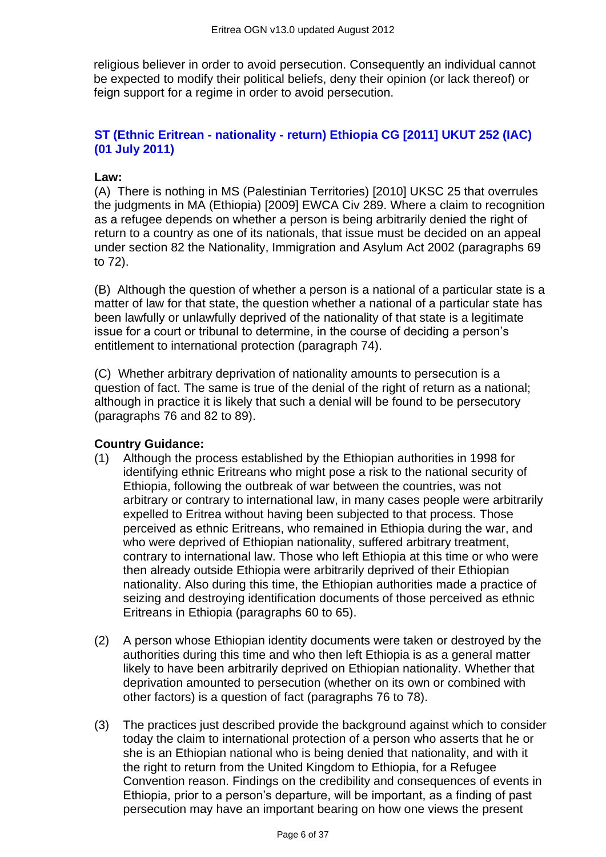religious believer in order to avoid persecution. Consequently an individual cannot be expected to modify their political beliefs, deny their opinion (or lack thereof) or feign support for a regime in order to avoid persecution.

# **ST (Ethnic Eritrean - nationality - [return\) Ethiopia CG \[2011\] UKUT 252 \(IAC\)](http://www.bailii.org/uk/cases/UKUT/IAC/2011/00252_ukut_iac_2011_st_ethiopia_cg.html)  [\(01 July 2011\)](http://www.bailii.org/uk/cases/UKUT/IAC/2011/00252_ukut_iac_2011_st_ethiopia_cg.html)**

# **Law:**

(A) There is nothing in MS (Palestinian Territories) [2010] UKSC 25 that overrules the judgments in MA (Ethiopia) [2009] EWCA Civ 289. Where a claim to recognition as a refugee depends on whether a person is being arbitrarily denied the right of return to a country as one of its nationals, that issue must be decided on an appeal under section 82 the Nationality, Immigration and Asylum Act 2002 (paragraphs 69 to 72).

(B) Although the question of whether a person is a national of a particular state is a matter of law for that state, the question whether a national of a particular state has been lawfully or unlawfully deprived of the nationality of that state is a legitimate issue for a court or tribunal to determine, in the course of deciding a person's entitlement to international protection (paragraph 74).

(C) Whether arbitrary deprivation of nationality amounts to persecution is a question of fact. The same is true of the denial of the right of return as a national; although in practice it is likely that such a denial will be found to be persecutory (paragraphs 76 and 82 to 89).

#### **Country Guidance:**

- (1) Although the process established by the Ethiopian authorities in 1998 for identifying ethnic Eritreans who might pose a risk to the national security of Ethiopia, following the outbreak of war between the countries, was not arbitrary or contrary to international law, in many cases people were arbitrarily expelled to Eritrea without having been subjected to that process. Those perceived as ethnic Eritreans, who remained in Ethiopia during the war, and who were deprived of Ethiopian nationality, suffered arbitrary treatment, contrary to international law. Those who left Ethiopia at this time or who were then already outside Ethiopia were arbitrarily deprived of their Ethiopian nationality. Also during this time, the Ethiopian authorities made a practice of seizing and destroying identification documents of those perceived as ethnic Eritreans in Ethiopia (paragraphs 60 to 65).
- (2) A person whose Ethiopian identity documents were taken or destroyed by the authorities during this time and who then left Ethiopia is as a general matter likely to have been arbitrarily deprived on Ethiopian nationality. Whether that deprivation amounted to persecution (whether on its own or combined with other factors) is a question of fact (paragraphs 76 to 78).
- (3) The practices just described provide the background against which to consider today the claim to international protection of a person who asserts that he or she is an Ethiopian national who is being denied that nationality, and with it the right to return from the United Kingdom to Ethiopia, for a Refugee Convention reason. Findings on the credibility and consequences of events in Ethiopia, prior to a person's departure, will be important, as a finding of past persecution may have an important bearing on how one views the present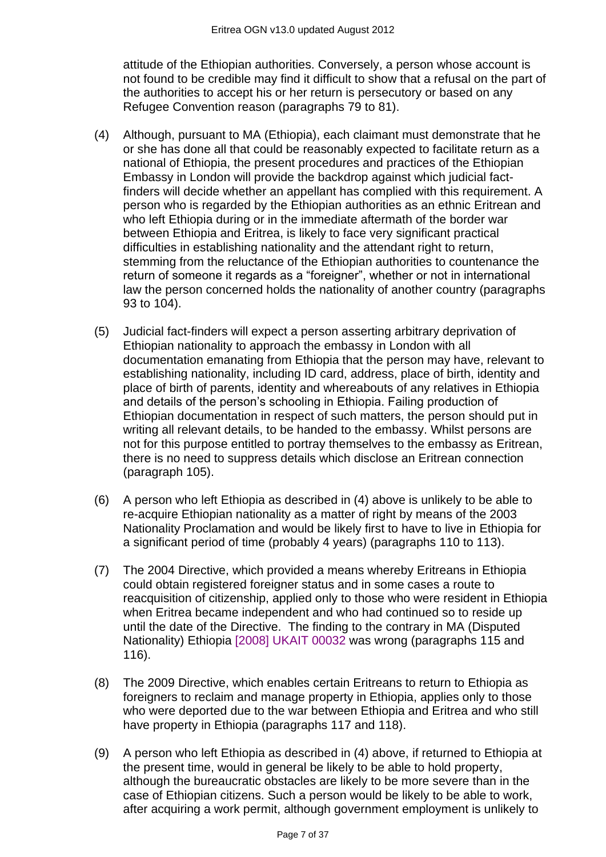attitude of the Ethiopian authorities. Conversely, a person whose account is not found to be credible may find it difficult to show that a refusal on the part of the authorities to accept his or her return is persecutory or based on any Refugee Convention reason (paragraphs 79 to 81).

- (4) Although, pursuant to MA (Ethiopia), each claimant must demonstrate that he or she has done all that could be reasonably expected to facilitate return as a national of Ethiopia, the present procedures and practices of the Ethiopian Embassy in London will provide the backdrop against which judicial factfinders will decide whether an appellant has complied with this requirement. A person who is regarded by the Ethiopian authorities as an ethnic Eritrean and who left Ethiopia during or in the immediate aftermath of the border war between Ethiopia and Eritrea, is likely to face very significant practical difficulties in establishing nationality and the attendant right to return, stemming from the reluctance of the Ethiopian authorities to countenance the return of someone it regards as a "foreigner", whether or not in international law the person concerned holds the nationality of another country (paragraphs 93 to 104).
- (5) Judicial fact-finders will expect a person asserting arbitrary deprivation of Ethiopian nationality to approach the embassy in London with all documentation emanating from Ethiopia that the person may have, relevant to establishing nationality, including ID card, address, place of birth, identity and place of birth of parents, identity and whereabouts of any relatives in Ethiopia and details of the person's schooling in Ethiopia. Failing production of Ethiopian documentation in respect of such matters, the person should put in writing all relevant details, to be handed to the embassy. Whilst persons are not for this purpose entitled to portray themselves to the embassy as Eritrean, there is no need to suppress details which disclose an Eritrean connection (paragraph 105).
- (6) A person who left Ethiopia as described in (4) above is unlikely to be able to re-acquire Ethiopian nationality as a matter of right by means of the 2003 Nationality Proclamation and would be likely first to have to live in Ethiopia for a significant period of time (probably 4 years) (paragraphs 110 to 113).
- (7) The 2004 Directive, which provided a means whereby Eritreans in Ethiopia could obtain registered foreigner status and in some cases a route to reacquisition of citizenship, applied only to those who were resident in Ethiopia when Eritrea became independent and who had continued so to reside up until the date of the Directive. The finding to the contrary in MA (Disputed Nationality) Ethiopia [\[2008\] UKAIT 00032](http://www.bailii.org/uk/cases/UKIAT/2008/00032.html) was wrong (paragraphs 115 and 116).
- (8) The 2009 Directive, which enables certain Eritreans to return to Ethiopia as foreigners to reclaim and manage property in Ethiopia, applies only to those who were deported due to the war between Ethiopia and Eritrea and who still have property in Ethiopia (paragraphs 117 and 118).
- (9) A person who left Ethiopia as described in (4) above, if returned to Ethiopia at the present time, would in general be likely to be able to hold property, although the bureaucratic obstacles are likely to be more severe than in the case of Ethiopian citizens. Such a person would be likely to be able to work, after acquiring a work permit, although government employment is unlikely to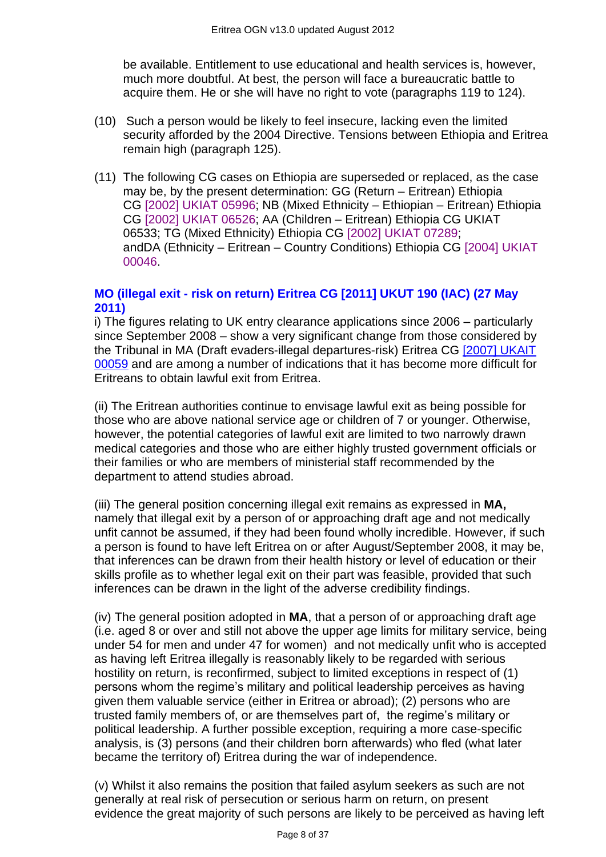be available. Entitlement to use educational and health services is, however, much more doubtful. At best, the person will face a bureaucratic battle to acquire them. He or she will have no right to vote (paragraphs 119 to 124).

- (10) Such a person would be likely to feel insecure, lacking even the limited security afforded by the 2004 Directive. Tensions between Ethiopia and Eritrea remain high (paragraph 125).
- (11) The following CG cases on Ethiopia are superseded or replaced, as the case may be, by the present determination: GG (Return – Eritrean) Ethiopia CG [\[2002\] UKIAT 05996;](http://www.bailii.org/uk/cases/UKIAT/2002/05996.html) NB (Mixed Ethnicity – Ethiopian – Eritrean) Ethiopia CG [\[2002\] UKIAT 06526;](http://www.bailii.org/uk/cases/UKIAT/2002/06526.html) AA (Children – Eritrean) Ethiopia CG UKIAT 06533; TG (Mixed Ethnicity) Ethiopia CG [\[2002\] UKIAT 07289;](http://www.bailii.org/uk/cases/UKIAT/2002/07289.html) andDA (Ethnicity – Eritrean – Country Conditions) Ethiopia CG [\[2004\] UKIAT](http://www.bailii.org/uk/cases/UKIAT/2004/00046.html)  [00046.](http://www.bailii.org/uk/cases/UKIAT/2004/00046.html)

#### **MO (illegal exit - [risk on return\) Eritrea CG \[2011\] UKUT 190 \(IAC\) \(27 May](http://www.bailii.org/uk/cases/UKUT/IAC/2011/00190_ukut_iac_2011_mo_eritrea_cg.html)  [2011\)](http://www.bailii.org/uk/cases/UKUT/IAC/2011/00190_ukut_iac_2011_mo_eritrea_cg.html)**

i) The figures relating to UK entry clearance applications since 2006 – particularly since September 2008 – show a very significant change from those considered by the Tribunal in MA (Draft evaders-illegal departures-risk) Eritrea CG [\[2007\] UKAIT](http://www.bailii.org/uk/cases/UKIAT/2007/00059.html)  [00059](http://www.bailii.org/uk/cases/UKIAT/2007/00059.html) and are among a number of indications that it has become more difficult for Eritreans to obtain lawful exit from Eritrea.

(ii) The Eritrean authorities continue to envisage lawful exit as being possible for those who are above national service age or children of 7 or younger. Otherwise, however, the potential categories of lawful exit are limited to two narrowly drawn medical categories and those who are either highly trusted government officials or their families or who are members of ministerial staff recommended by the department to attend studies abroad.

(iii) The general position concerning illegal exit remains as expressed in **MA,** namely that illegal exit by a person of or approaching draft age and not medically unfit cannot be assumed, if they had been found wholly incredible. However, if such a person is found to have left Eritrea on or after August/September 2008, it may be, that inferences can be drawn from their health history or level of education or their skills profile as to whether legal exit on their part was feasible, provided that such inferences can be drawn in the light of the adverse credibility findings.

(iv) The general position adopted in **MA**, that a person of or approaching draft age (i.e. aged 8 or over and still not above the upper age limits for military service, being under 54 for men and under 47 for women) and not medically unfit who is accepted as having left Eritrea illegally is reasonably likely to be regarded with serious hostility on return, is reconfirmed, subject to limited exceptions in respect of (1) persons whom the regime's military and political leadership perceives as having given them valuable service (either in Eritrea or abroad); (2) persons who are trusted family members of, or are themselves part of, the regime's military or political leadership. A further possible exception, requiring a more case-specific analysis, is (3) persons (and their children born afterwards) who fled (what later became the territory of) Eritrea during the war of independence.

(v) Whilst it also remains the position that failed asylum seekers as such are not generally at real risk of persecution or serious harm on return, on present evidence the great majority of such persons are likely to be perceived as having left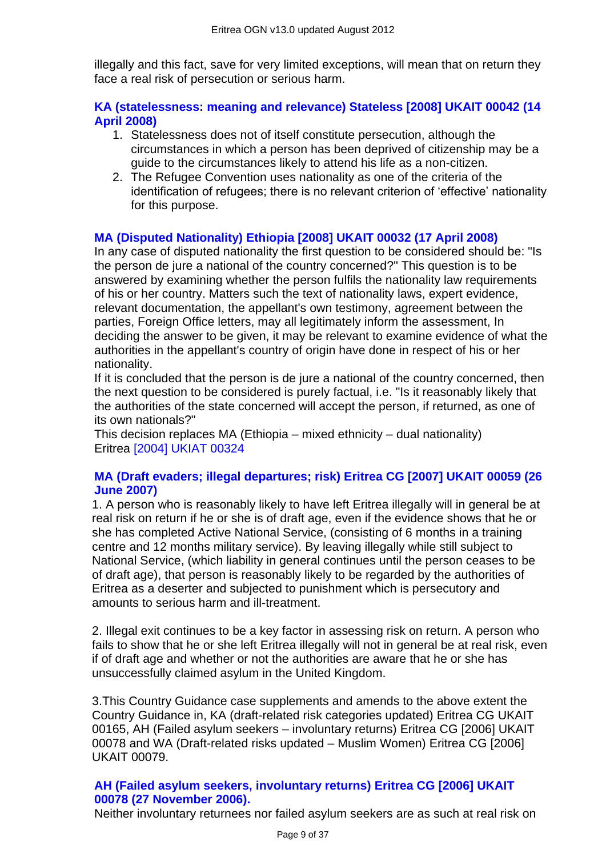illegally and this fact, save for very limited exceptions, will mean that on return they face a real risk of persecution or serious harm.

# **[KA \(statelessness: meaning and relevance\) Stateless \[2008\] UKAIT 00042 \(14](http://www.bailii.org/uk/cases/UKIAT/2008/00042.html)  [April 2008\)](http://www.bailii.org/uk/cases/UKIAT/2008/00042.html)**

- 1. Statelessness does not of itself constitute persecution, although the circumstances in which a person has been deprived of citizenship may be a guide to the circumstances likely to attend his life as a non-citizen.
- 2. The Refugee Convention uses nationality as one of the criteria of the identification of refugees; there is no relevant criterion of 'effective' nationality for this purpose.

# **[MA \(Disputed Nationality\) Ethiopia \[2008\] UKAIT 00032 \(17 April 2008\)](http://www.bailii.org/uk/cases/UKIAT/2008/00032.html)**

In any case of disputed nationality the first question to be considered should be: "Is the person de jure a national of the country concerned?" This question is to be answered by examining whether the person fulfils the nationality law requirements of his or her country. Matters such the text of nationality laws, expert evidence, relevant documentation, the appellant's own testimony, agreement between the parties, Foreign Office letters, may all legitimately inform the assessment, In deciding the answer to be given, it may be relevant to examine evidence of what the authorities in the appellant's country of origin have done in respect of his or her nationality.

If it is concluded that the person is de jure a national of the country concerned, then the next question to be considered is purely factual, i.e. "Is it reasonably likely that the authorities of the state concerned will accept the person, if returned, as one of its own nationals?"

This decision replaces MA (Ethiopia – mixed ethnicity – dual nationality) Eritrea [\[2004\] UKIAT 00324](http://www.bailii.org/uk/cases/UKIAT/2004/00324.html)

#### **[MA \(Draft evaders; illegal departures; risk\) Eritrea CG \[2007\] UKAIT 00059 \(26](http://www.bailii.org/uk/cases/UKIAT/2007/00059.html)  [June 2007\)](http://www.bailii.org/uk/cases/UKIAT/2007/00059.html)**

1. A person who is reasonably likely to have left Eritrea illegally will in general be at real risk on return if he or she is of draft age, even if the evidence shows that he or she has completed Active National Service, (consisting of 6 months in a training centre and 12 months military service). By leaving illegally while still subject to National Service, (which liability in general continues until the person ceases to be of draft age), that person is reasonably likely to be regarded by the authorities of Eritrea as a deserter and subjected to punishment which is persecutory and amounts to serious harm and ill-treatment.

2. Illegal exit continues to be a key factor in assessing risk on return. A person who fails to show that he or she left Eritrea illegally will not in general be at real risk, even if of draft age and whether or not the authorities are aware that he or she has unsuccessfully claimed asylum in the United Kingdom.

3.This Country Guidance case supplements and amends to the above extent the Country Guidance in, KA (draft-related risk categories updated) Eritrea CG UKAIT 00165, AH (Failed asylum seekers – involuntary returns) Eritrea CG [2006] UKAIT 00078 and WA (Draft-related risks updated – Muslim Women) Eritrea CG [2006] UKAIT 00079.

#### **[AH \(Failed asylum seekers, involuntary returns\)](http://www.bailii.org/uk/cases/UKIAT/2006/00078.html) Eritrea CG [2006] UKAIT [00078 \(27 November 2006\).](http://www.bailii.org/uk/cases/UKIAT/2006/00078.html)**

Neither involuntary returnees nor failed asylum seekers are as such at real risk on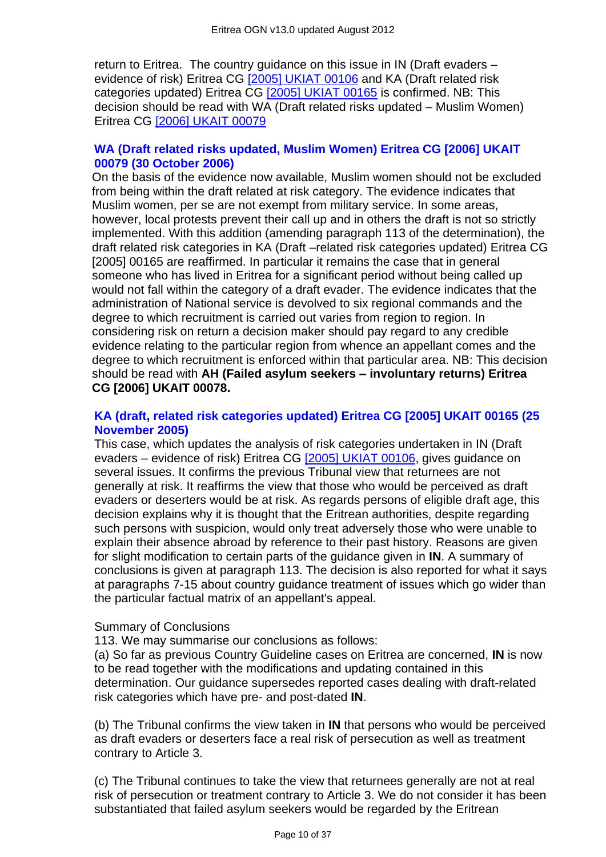return to Eritrea. The country guidance on this issue in IN (Draft evaders – evidence of risk) Eritrea CG [\[2005\] UKIAT 00106](http://www.bailii.org/uk/cases/UKIAT/2005/00106.html) and KA (Draft related risk categories updated) Eritrea CG [\[2005\] UKIAT 00165](http://www.bailii.org/uk/cases/UKIAT/2005/00165.html) is confirmed. NB: This decision should be read with WA (Draft related risks updated – Muslim Women) Eritrea CG [\[2006\] UKAIT 00079](http://www.bailii.org/uk/cases/UKIAT/2006/00079.html)

#### **[WA \(Draft related risks updated, Muslim Women\) Eritrea CG \[2006\] UKAIT](http://www.bailii.org/uk/cases/UKIAT/2006/00079.html)  [00079 \(30 October 2006\)](http://www.bailii.org/uk/cases/UKIAT/2006/00079.html)**

On the basis of the evidence now available, Muslim women should not be excluded from being within the draft related at risk category. The evidence indicates that Muslim women, per se are not exempt from military service. In some areas, however, local protests prevent their call up and in others the draft is not so strictly implemented. With this addition (amending paragraph 113 of the determination), the draft related risk categories in KA (Draft –related risk categories updated) Eritrea CG [2005] 00165 are reaffirmed. In particular it remains the case that in general someone who has lived in Eritrea for a significant period without being called up would not fall within the category of a draft evader. The evidence indicates that the administration of National service is devolved to six regional commands and the degree to which recruitment is carried out varies from region to region. In considering risk on return a decision maker should pay regard to any credible evidence relating to the particular region from whence an appellant comes and the degree to which recruitment is enforced within that particular area. NB: This decision should be read with **AH (Failed asylum seekers – involuntary returns) Eritrea CG [2006] UKAIT 00078.**

#### **[KA \(draft, related risk categories updated\) Eritrea CG \[2005\] UKAIT 00165 \(25](http://www.bailii.org/uk/cases/UKIAT/2005/00165.html)  [November 2005\)](http://www.bailii.org/uk/cases/UKIAT/2005/00165.html)**

This case, which updates the analysis of risk categories undertaken in IN (Draft evaders – evidence of risk) Eritrea CG [\[2005\] UKIAT 00106,](http://www.bailii.org/uk/cases/UKIAT/2005/00106.html) gives guidance on several issues. It confirms the previous Tribunal view that returnees are not generally at risk. It reaffirms the view that those who would be perceived as draft evaders or deserters would be at risk. As regards persons of eligible draft age, this decision explains why it is thought that the Eritrean authorities, despite regarding such persons with suspicion, would only treat adversely those who were unable to explain their absence abroad by reference to their past history. Reasons are given for slight modification to certain parts of the guidance given in **IN**. A summary of conclusions is given at paragraph 113. The decision is also reported for what it says at paragraphs 7-15 about country guidance treatment of issues which go wider than the particular factual matrix of an appellant's appeal.

#### Summary of Conclusions

113. We may summarise our conclusions as follows:

(a) So far as previous Country Guideline cases on Eritrea are concerned, **IN** is now to be read together with the modifications and updating contained in this determination. Our guidance supersedes reported cases dealing with draft-related risk categories which have pre- and post-dated **IN**.

(b) The Tribunal confirms the view taken in **IN** that persons who would be perceived as draft evaders or deserters face a real risk of persecution as well as treatment contrary to Article 3.

(c) The Tribunal continues to take the view that returnees generally are not at real risk of persecution or treatment contrary to Article 3. We do not consider it has been substantiated that failed asylum seekers would be regarded by the Eritrean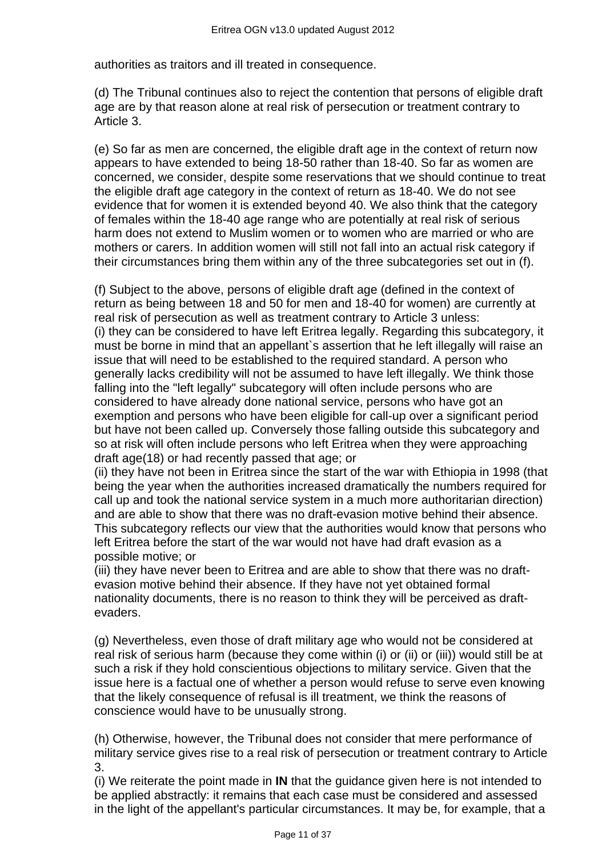authorities as traitors and ill treated in consequence.

(d) The Tribunal continues also to reject the contention that persons of eligible draft age are by that reason alone at real risk of persecution or treatment contrary to Article 3.

(e) So far as men are concerned, the eligible draft age in the context of return now appears to have extended to being 18-50 rather than 18-40. So far as women are concerned, we consider, despite some reservations that we should continue to treat the eligible draft age category in the context of return as 18-40. We do not see evidence that for women it is extended beyond 40. We also think that the category of females within the 18-40 age range who are potentially at real risk of serious harm does not extend to Muslim women or to women who are married or who are mothers or carers. In addition women will still not fall into an actual risk category if their circumstances bring them within any of the three subcategories set out in (f).

(f) Subject to the above, persons of eligible draft age (defined in the context of return as being between 18 and 50 for men and 18-40 for women) are currently at real risk of persecution as well as treatment contrary to Article 3 unless: (i) they can be considered to have left Eritrea legally. Regarding this subcategory, it must be borne in mind that an appellant`s assertion that he left illegally will raise an issue that will need to be established to the required standard. A person who generally lacks credibility will not be assumed to have left illegally. We think those falling into the "left legally" subcategory will often include persons who are considered to have already done national service, persons who have got an exemption and persons who have been eligible for call-up over a significant period but have not been called up. Conversely those falling outside this subcategory and so at risk will often include persons who left Eritrea when they were approaching draft age(18) or had recently passed that age; or

(ii) they have not been in Eritrea since the start of the war with Ethiopia in 1998 (that being the year when the authorities increased dramatically the numbers required for call up and took the national service system in a much more authoritarian direction) and are able to show that there was no draft-evasion motive behind their absence. This subcategory reflects our view that the authorities would know that persons who left Eritrea before the start of the war would not have had draft evasion as a possible motive; or

(iii) they have never been to Eritrea and are able to show that there was no draftevasion motive behind their absence. If they have not yet obtained formal nationality documents, there is no reason to think they will be perceived as draftevaders.

(g) Nevertheless, even those of draft military age who would not be considered at real risk of serious harm (because they come within (i) or (ii) or (iii)) would still be at such a risk if they hold conscientious objections to military service. Given that the issue here is a factual one of whether a person would refuse to serve even knowing that the likely consequence of refusal is ill treatment, we think the reasons of conscience would have to be unusually strong.

(h) Otherwise, however, the Tribunal does not consider that mere performance of military service gives rise to a real risk of persecution or treatment contrary to Article 3.

(i) We reiterate the point made in **IN** that the guidance given here is not intended to be applied abstractly: it remains that each case must be considered and assessed in the light of the appellant's particular circumstances. It may be, for example, that a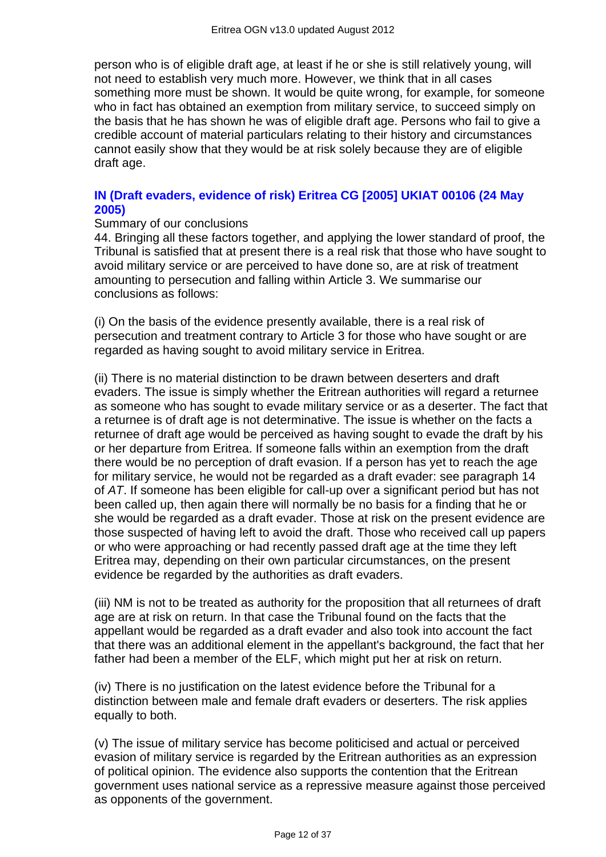person who is of eligible draft age, at least if he or she is still relatively young, will not need to establish very much more. However, we think that in all cases something more must be shown. It would be quite wrong, for example, for someone who in fact has obtained an exemption from military service, to succeed simply on the basis that he has shown he was of eligible draft age. Persons who fail to give a credible account of material particulars relating to their history and circumstances cannot easily show that they would be at risk solely because they are of eligible draft age.

#### **[IN \(Draft evaders, evidence of risk\) Eritrea CG \[2005\] UKIAT 00106 \(24 May](http://www.bailii.org/uk/cases/UKIAT/2005/00106.html)  [2005\)](http://www.bailii.org/uk/cases/UKIAT/2005/00106.html)**

#### Summary of our conclusions

44. Bringing all these factors together, and applying the lower standard of proof, the Tribunal is satisfied that at present there is a real risk that those who have sought to avoid military service or are perceived to have done so, are at risk of treatment amounting to persecution and falling within Article 3. We summarise our conclusions as follows:

(i) On the basis of the evidence presently available, there is a real risk of persecution and treatment contrary to Article 3 for those who have sought or are regarded as having sought to avoid military service in Eritrea.

(ii) There is no material distinction to be drawn between deserters and draft evaders. The issue is simply whether the Eritrean authorities will regard a returnee as someone who has sought to evade military service or as a deserter. The fact that a returnee is of draft age is not determinative. The issue is whether on the facts a returnee of draft age would be perceived as having sought to evade the draft by his or her departure from Eritrea. If someone falls within an exemption from the draft there would be no perception of draft evasion. If a person has yet to reach the age for military service, he would not be regarded as a draft evader: see paragraph 14 of *AT*. If someone has been eligible for call-up over a significant period but has not been called up, then again there will normally be no basis for a finding that he or she would be regarded as a draft evader. Those at risk on the present evidence are those suspected of having left to avoid the draft. Those who received call up papers or who were approaching or had recently passed draft age at the time they left Eritrea may, depending on their own particular circumstances, on the present evidence be regarded by the authorities as draft evaders.

(iii) NM is not to be treated as authority for the proposition that all returnees of draft age are at risk on return. In that case the Tribunal found on the facts that the appellant would be regarded as a draft evader and also took into account the fact that there was an additional element in the appellant's background, the fact that her father had been a member of the ELF, which might put her at risk on return.

(iv) There is no justification on the latest evidence before the Tribunal for a distinction between male and female draft evaders or deserters. The risk applies equally to both.

(v) The issue of military service has become politicised and actual or perceived evasion of military service is regarded by the Eritrean authorities as an expression of political opinion. The evidence also supports the contention that the Eritrean government uses national service as a repressive measure against those perceived as opponents of the government.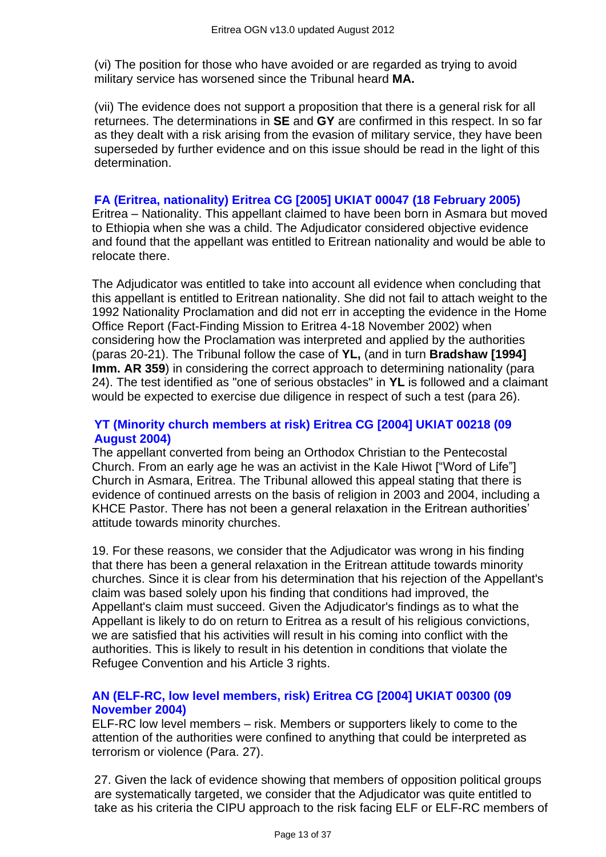(vi) The position for those who have avoided or are regarded as trying to avoid military service has worsened since the Tribunal heard **MA.**

(vii) The evidence does not support a proposition that there is a general risk for all returnees. The determinations in **SE** and **GY** are confirmed in this respect. In so far as they dealt with a risk arising from the evasion of military service, they have been superseded by further evidence and on this issue should be read in the light of this determination.

#### **FA (Eritrea, nationality) [Eritrea CG \[2005\] UKIAT 00047 \(18 February 2005\)](http://www.bailii.org/uk/cases/UKIAT/2005/00047.html)**

Eritrea – Nationality. This appellant claimed to have been born in Asmara but moved to Ethiopia when she was a child. The Adjudicator considered objective evidence and found that the appellant was entitled to Eritrean nationality and would be able to relocate there.

The Adjudicator was entitled to take into account all evidence when concluding that this appellant is entitled to Eritrean nationality. She did not fail to attach weight to the 1992 Nationality Proclamation and did not err in accepting the evidence in the Home Office Report (Fact-Finding Mission to Eritrea 4-18 November 2002) when considering how the Proclamation was interpreted and applied by the authorities (paras 20-21). The Tribunal follow the case of **YL,** (and in turn **Bradshaw [1994] Imm. AR 359**) in considering the correct approach to determining nationality (para 24). The test identified as "one of serious obstacles" in **YL** is followed and a claimant would be expected to exercise due diligence in respect of such a test (para 26).

#### **[YT \(Minority church members at risk\) Eritrea CG \[2004\] UKIAT 00218 \(09](http://www.bailii.org/uk/cases/UKIAT/2004/00218.html)  [August 2004\)](http://www.bailii.org/uk/cases/UKIAT/2004/00218.html)**

The appellant converted from being an Orthodox Christian to the Pentecostal Church. From an early age he was an activist in the Kale Hiwot ["Word of Life"] Church in Asmara, Eritrea. The Tribunal allowed this appeal stating that there is evidence of continued arrests on the basis of religion in 2003 and 2004, including a KHCE Pastor. There has not been a general relaxation in the Eritrean authorities' attitude towards minority churches.

19. For these reasons, we consider that the Adjudicator was wrong in his finding that there has been a general relaxation in the Eritrean attitude towards minority churches. Since it is clear from his determination that his rejection of the Appellant's claim was based solely upon his finding that conditions had improved, the Appellant's claim must succeed. Given the Adjudicator's findings as to what the Appellant is likely to do on return to Eritrea as a result of his religious convictions, we are satisfied that his activities will result in his coming into conflict with the authorities. This is likely to result in his detention in conditions that violate the Refugee Convention and his Article 3 rights.

# **[AN \(ELF-RC, low level members, risk\) Eritrea CG \[2004\] UKIAT 00300 \(09](http://www.bailii.org/uk/cases/UKIAT/2004/00300.html)  [November 2004\)](http://www.bailii.org/uk/cases/UKIAT/2004/00300.html)**

ELF-RC low level members – risk. Members or supporters likely to come to the attention of the authorities were confined to anything that could be interpreted as terrorism or violence (Para. 27).

27. Given the lack of evidence showing that members of opposition political groups are systematically targeted, we consider that the Adjudicator was quite entitled to take as his criteria the CIPU approach to the risk facing ELF or ELF-RC members of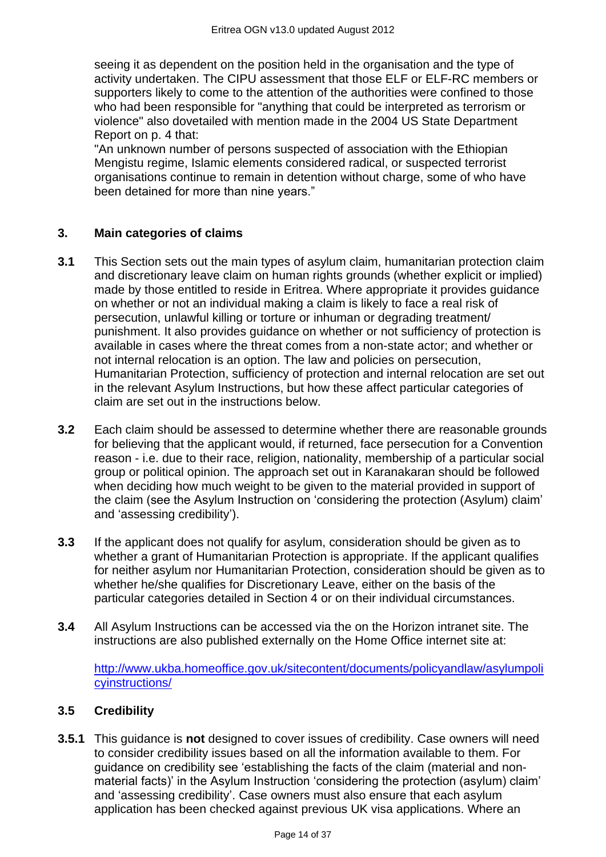seeing it as dependent on the position held in the organisation and the type of activity undertaken. The CIPU assessment that those ELF or ELF-RC members or supporters likely to come to the attention of the authorities were confined to those who had been responsible for "anything that could be interpreted as terrorism or violence" also dovetailed with mention made in the 2004 US State Department Report on p. 4 that:

"An unknown number of persons suspected of association with the Ethiopian Mengistu regime, Islamic elements considered radical, or suspected terrorist organisations continue to remain in detention without charge, some of who have been detained for more than nine years."

# **3. Main categories of claims**

- **3.1** This Section sets out the main types of asylum claim, humanitarian protection claim and discretionary leave claim on human rights grounds (whether explicit or implied) made by those entitled to reside in Eritrea. Where appropriate it provides guidance on whether or not an individual making a claim is likely to face a real risk of persecution, unlawful killing or torture or inhuman or degrading treatment/ punishment. It also provides guidance on whether or not sufficiency of protection is available in cases where the threat comes from a non-state actor; and whether or not internal relocation is an option. The law and policies on persecution, Humanitarian Protection, sufficiency of protection and internal relocation are set out in the relevant Asylum Instructions, but how these affect particular categories of claim are set out in the instructions below.
- **3.2** Each claim should be assessed to determine whether there are reasonable grounds for believing that the applicant would, if returned, face persecution for a Convention reason - i.e. due to their race, religion, nationality, membership of a particular social group or political opinion. The approach set out in Karanakaran should be followed when deciding how much weight to be given to the material provided in support of the claim (see the Asylum Instruction on 'considering the protection (Asylum) claim' and 'assessing credibility').
- **3.3** If the applicant does not qualify for asylum, consideration should be given as to whether a grant of Humanitarian Protection is appropriate. If the applicant qualifies for neither asylum nor Humanitarian Protection, consideration should be given as to whether he/she qualifies for Discretionary Leave, either on the basis of the particular categories detailed in Section 4 or on their individual circumstances.
- **3.4** All Asylum Instructions can be accessed via the on the Horizon intranet site. The instructions are also published externally on the Home Office internet site at:

[http://www.ukba.homeoffice.gov.uk/sitecontent/documents/policyandlaw/asylumpoli](http://www.ukba.homeoffice.gov.uk/sitecontent/documents/policyandlaw/asylumpolicyinstructions/) [cyinstructions/](http://www.ukba.homeoffice.gov.uk/sitecontent/documents/policyandlaw/asylumpolicyinstructions/)

#### **3.5 Credibility**

**3.5.1** This guidance is **not** designed to cover issues of credibility. Case owners will need to consider credibility issues based on all the information available to them. For guidance on credibility see 'establishing the facts of the claim (material and nonmaterial facts)' in the Asylum Instruction 'considering the protection (asylum) claim' and 'assessing credibility'. Case owners must also ensure that each asylum application has been checked against previous UK visa applications. Where an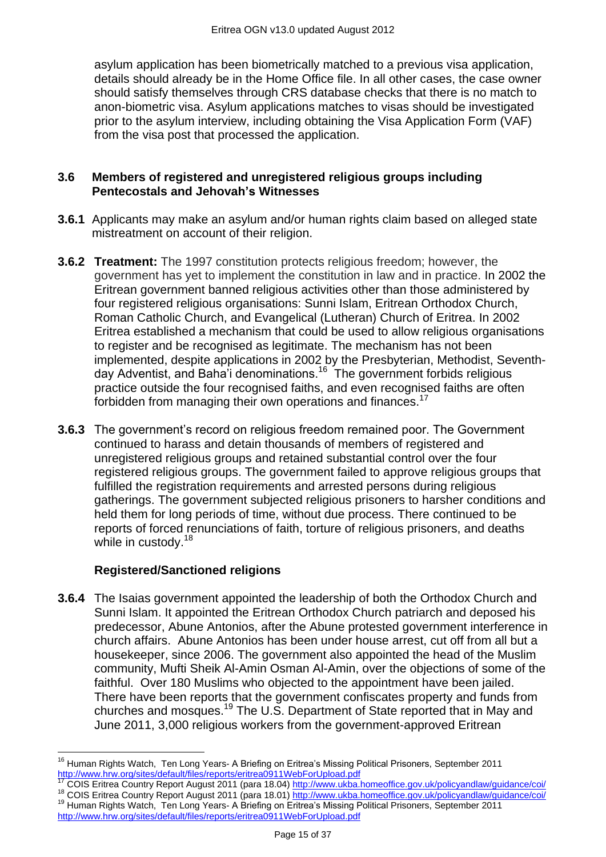asylum application has been biometrically matched to a previous visa application, details should already be in the Home Office file. In all other cases, the case owner should satisfy themselves through CRS database checks that there is no match to anon-biometric visa. Asylum applications matches to visas should be investigated prior to the asylum interview, including obtaining the Visa Application Form (VAF) from the visa post that processed the application.

#### **3.6 Members of registered and unregistered religious groups including Pentecostals and Jehovah's Witnesses**

- **3.6.1** Applicants may make an asylum and/or human rights claim based on alleged state mistreatment on account of their religion.
- **3.6.2 Treatment:** The 1997 constitution protects religious freedom; however, the government has yet to implement the constitution in law and in practice. In 2002 the Eritrean government banned religious activities other than those administered by four registered religious organisations: Sunni Islam, Eritrean Orthodox Church, Roman Catholic Church, and Evangelical (Lutheran) Church of Eritrea. In 2002 Eritrea established a mechanism that could be used to allow religious organisations to register and be recognised as legitimate. The mechanism has not been implemented, despite applications in 2002 by the Presbyterian, Methodist, Seventhday Adventist, and Baha'i denominations.<sup>16</sup> The government forbids religious practice outside the four recognised faiths, and even recognised faiths are often forbidden from managing their own operations and finances.<sup>17</sup>
- **3.6.3** The government's record on religious freedom remained poor. The Government continued to harass and detain thousands of members of registered and unregistered religious groups and retained substantial control over the four registered religious groups. The government failed to approve religious groups that fulfilled the registration requirements and arrested persons during religious gatherings. The government subjected religious prisoners to harsher conditions and held them for long periods of time, without due process. There continued to be reports of forced renunciations of faith, torture of religious prisoners, and deaths while in custody.<sup>18</sup>

# **Registered/Sanctioned religions**

**3.6.4** The Isaias government appointed the leadership of both the Orthodox Church and Sunni Islam. It appointed the Eritrean Orthodox Church patriarch and deposed his predecessor, Abune Antonios, after the Abune protested government interference in church affairs. Abune Antonios has been under house arrest, cut off from all but a housekeeper, since 2006. The government also appointed the head of the Muslim community, Mufti Sheik Al-Amin Osman Al-Amin, over the objections of some of the faithful. Over 180 Muslims who objected to the appointment have been jailed. There have been reports that the government confiscates property and funds from churches and mosques.<sup>19</sup> The U.S. Department of State reported that in May and June 2011, 3,000 religious workers from the government-approved Eritrean

- <sup>17</sup> COIS Eritrea Country Report August 2011 (para 18.04)<http://www.ukba.homeoffice.gov.uk/policyandlaw/guidance/coi/> <sup>18</sup> COIS Eritrea Country Report August 2011 (para 18.01)<http://www.ukba.homeoffice.gov.uk/policyandlaw/guidance/coi/>
- <sup>19</sup> Human Rights Watch, Ten Long Years- A Briefing on Eritrea's Missing Political Prisoners, September 2011 <http://www.hrw.org/sites/default/files/reports/eritrea0911WebForUpload.pdf>

 $\overline{\phantom{a}}$ <sup>16</sup> Human Rights Watch, Ten Long Years- A Briefing on Eritrea's Missing Political Prisoners, September 2011 <http://www.hrw.org/sites/default/files/reports/eritrea0911WebForUpload.pdf>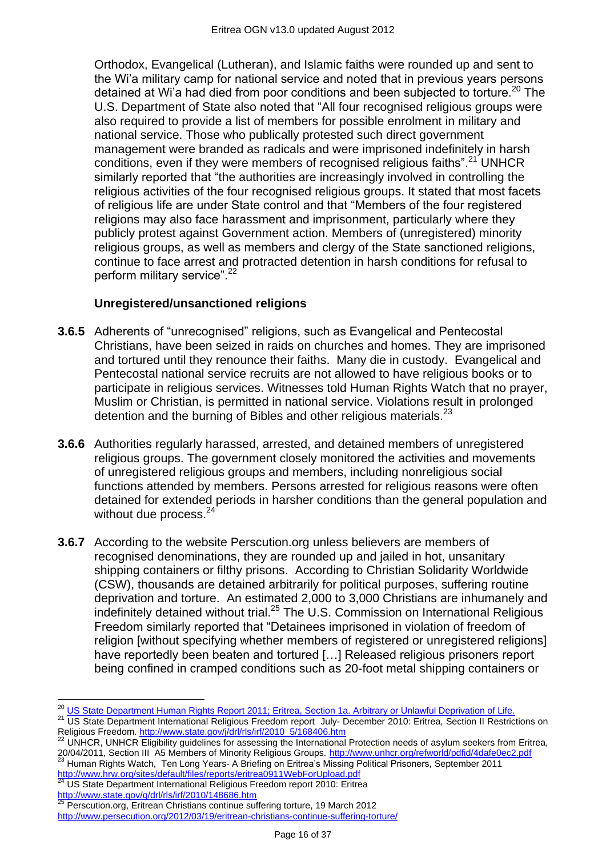Orthodox, Evangelical (Lutheran), and Islamic faiths were rounded up and sent to the Wi'a military camp for national service and noted that in previous years persons detained at Wi'a had died from poor conditions and been subjected to torture.<sup>20</sup> The U.S. Department of State also noted that "All four recognised religious groups were also required to provide a list of members for possible enrolment in military and national service. Those who publically protested such direct government management were branded as radicals and were imprisoned indefinitely in harsh conditions, even if they were members of recognised religious faiths"<sup>21</sup> UNHCR similarly reported that "the authorities are increasingly involved in controlling the religious activities of the four recognised religious groups. It stated that most facets of religious life are under State control and that "Members of the four registered religions may also face harassment and imprisonment, particularly where they publicly protest against Government action. Members of (unregistered) minority religious groups, as well as members and clergy of the State sanctioned religions, continue to face arrest and protracted detention in harsh conditions for refusal to perform military service".<sup>22</sup>

# **Unregistered/unsanctioned religions**

- **3.6.5** Adherents of "unrecognised" religions, such as Evangelical and Pentecostal Christians, have been seized in raids on churches and homes. They are imprisoned and tortured until they renounce their faiths. Many die in custody. Evangelical and Pentecostal national service recruits are not allowed to have religious books or to participate in religious services. Witnesses told Human Rights Watch that no prayer, Muslim or Christian, is permitted in national service. Violations result in prolonged detention and the burning of Bibles and other religious materials. $^{23}$
- **3.6.6** Authorities regularly harassed, arrested, and detained members of unregistered religious groups. The government closely monitored the activities and movements of unregistered religious groups and members, including nonreligious social functions attended by members. Persons arrested for religious reasons were often detained for extended periods in harsher conditions than the general population and without due process.<sup>24</sup>
- **3.6.7** According to the website Perscution.org unless believers are members of recognised denominations, they are rounded up and jailed in hot, unsanitary shipping containers or filthy prisons. According to Christian Solidarity Worldwide (CSW), thousands are detained arbitrarily for political purposes, suffering routine deprivation and torture. An estimated 2,000 to 3,000 Christians are inhumanely and indefinitely detained without trial.<sup>25</sup> The U.S. Commission on International Religious Freedom similarly reported that "Detainees imprisoned in violation of freedom of religion [without specifying whether members of registered or unregistered religions] have reportedly been beaten and tortured […] Released religious prisoners report being confined in cramped conditions such as 20-foot metal shipping containers or

 $24$  US State Department International Religious Freedom report 2010: Eritrea Le Jane Department international Religious Fr<br><http://www.state.gov/g/drl/rls/irf/2010/148686.htm><br>25 Department F ::

 $\overline{a}$ 

<sup>25</sup> Perscution.org, Eritrean Christians continue suffering torture, 19 March 2012 <http://www.persecution.org/2012/03/19/eritrean-christians-continue-suffering-torture/>

<sup>&</sup>lt;sup>20</sup> [US State Department Human Rights Report 2011; Eritrea, Section 1a. Arbitrary or Unlawful Deprivation of Life.](http://www.state.gov/j/drl/rls/hrrpt/humanrightsreport/index.htm?dlid=186194#wrapper)

<sup>&</sup>lt;sup>21</sup> US State Department International Religious Freedom report July- December 2010: Eritrea, Section II Restrictions on Religious Freedom. [http://www.state.gov/j/drl/rls/irf/2010\\_5/168406.htm](http://www.state.gov/j/drl/rls/irf/2010_5/168406.htm)

<sup>22</sup> UNHCR, UNHCR Eligibility guidelines for assessing the International Protection needs of asylum seekers from Eritrea, 20/04/2011, Section III A5 Members of Minority Religious Groups. <http://www.unhcr.org/refworld/pdfid/4dafe0ec2.pdf> <sup>23</sup> Human Rights Watch, Ten Long Years- A Briefing on Eritrea's Missing Political Prisoners, September 2011 <http://www.hrw.org/sites/default/files/reports/eritrea0911WebForUpload.pdf>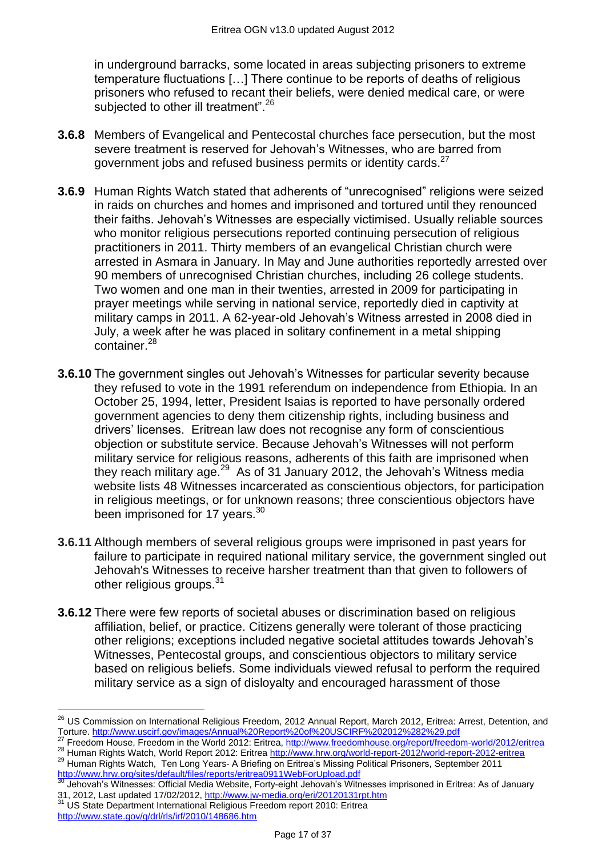in underground barracks, some located in areas subjecting prisoners to extreme temperature fluctuations […] There continue to be reports of deaths of religious prisoners who refused to recant their beliefs, were denied medical care, or were subjected to other ill treatment".<sup>26</sup>

- **3.6.8** Members of Evangelical and Pentecostal churches face persecution, but the most severe treatment is reserved for Jehovah's Witnesses, who are barred from government jobs and refused business permits or identity cards.<sup>27</sup>
- **3.6.9** Human Rights Watch stated that adherents of "unrecognised" religions were seized in raids on churches and homes and imprisoned and tortured until they renounced their faiths. Jehovah's Witnesses are especially victimised. Usually reliable sources who monitor religious persecutions reported continuing persecution of religious practitioners in 2011. Thirty members of an evangelical Christian church were arrested in Asmara in January. In May and June authorities reportedly arrested over 90 members of unrecognised Christian churches, including 26 college students. Two women and one man in their twenties, arrested in 2009 for participating in prayer meetings while serving in national service, reportedly died in captivity at military camps in 2011. A 62-year-old Jehovah's Witness arrested in 2008 died in July, a week after he was placed in solitary confinement in a metal shipping container.<sup>28</sup>
- **3.6.10** The government singles out Jehovah's Witnesses for particular severity because they refused to vote in the 1991 referendum on independence from Ethiopia. In an October 25, 1994, letter, President Isaias is reported to have personally ordered government agencies to deny them citizenship rights, including business and drivers' licenses. Eritrean law does not recognise any form of conscientious objection or substitute service. Because Jehovah's Witnesses will not perform military service for religious reasons, adherents of this faith are imprisoned when they reach military age.<sup>29</sup> As of 31 January 2012, the Jehovah's Witness media website lists 48 Witnesses incarcerated as conscientious objectors, for participation in religious meetings, or for unknown reasons; three conscientious objectors have been imprisoned for 17 years.<sup>30</sup>
- **3.6.11** Although members of several religious groups were imprisoned in past years for failure to participate in required national military service, the government singled out Jehovah's Witnesses to receive harsher treatment than that given to followers of other religious groups.<sup>31</sup>
- **3.6.12** There were few reports of societal abuses or discrimination based on religious affiliation, belief, or practice. Citizens generally were tolerant of those practicing other religions; exceptions included negative societal attitudes towards Jehovah's Witnesses, Pentecostal groups, and conscientious objectors to military service based on religious beliefs. Some individuals viewed refusal to perform the required military service as a sign of disloyalty and encouraged harassment of those

<sup>29</sup> Human Rights Watch, Ten Long Years- A Briefing on Eritrea's Missing Political Prisoners, September 2011 <http://www.hrw.org/sites/default/files/reports/eritrea0911WebForUpload.pdf>

<sup>31</sup> US State Department International Religious Freedom report 2010: Eritrea <http://www.state.gov/g/drl/rls/irf/2010/148686.htm>

 $\overline{a}$ 

<sup>&</sup>lt;sup>26</sup> US Commission on International Religious Freedom, 2012 Annual Report, March 2012, Eritrea: Arrest, Detention, and Torture. <http://www.uscirf.gov/images/Annual%20Report%20of%20USCIRF%202012%282%29.pdf>

<sup>27</sup> Freedom House, Freedom in the World 2012: Eritrea,<http://www.freedomhouse.org/report/freedom-world/2012/eritrea> 28 Human Rights Watch, World Report 2012: Eritrea <http://www.hrw.org/world-report-2012/world-report-2012-eritrea>

<sup>&</sup>lt;sup>30</sup> Jehovah's Witnesses: Official Media Website, Forty-eight Jehovah's Witnesses imprisoned in Eritrea: As of January 31, 2012, Last updated 17/02/2012, <http://www.jw-media.org/eri/20120131rpt.htm>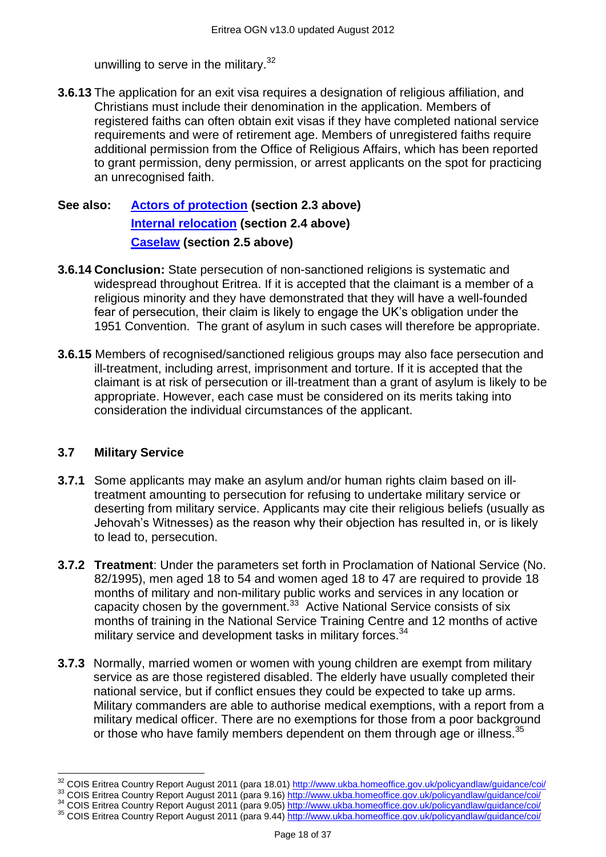unwilling to serve in the military.<sup>32</sup>

**3.6.13** The application for an exit visa requires a designation of religious affiliation, and Christians must include their denomination in the application. Members of registered faiths can often obtain exit visas if they have completed national service requirements and were of retirement age. Members of unregistered faiths require additional permission from the Office of Religious Affairs, which has been reported to grant permission, deny permission, or arrest applicants on the spot for practicing an unrecognised faith.

# **See also: [Actors of protection](#page-1-1) (section 2.3 above) [Internal relocation](#page-3-0) (section 2.4 above) [Caselaw](#page-4-0) (section 2.5 above)**

- **3.6.14 Conclusion:** State persecution of non-sanctioned religions is systematic and widespread throughout Eritrea. If it is accepted that the claimant is a member of a religious minority and they have demonstrated that they will have a well-founded fear of persecution, their claim is likely to engage the UK's obligation under the 1951 Convention. The grant of asylum in such cases will therefore be appropriate.
- **3.6.15** Members of recognised/sanctioned religious groups may also face persecution and ill-treatment, including arrest, imprisonment and torture. If it is accepted that the claimant is at risk of persecution or ill-treatment than a grant of asylum is likely to be appropriate. However, each case must be considered on its merits taking into consideration the individual circumstances of the applicant.

#### **3.7 Military Service**

- **3.7.1** Some applicants may make an asylum and/or human rights claim based on illtreatment amounting to persecution for refusing to undertake military service or deserting from military service. Applicants may cite their religious beliefs (usually as Jehovah's Witnesses) as the reason why their objection has resulted in, or is likely to lead to, persecution.
- **3.7.2 Treatment**: Under the parameters set forth in Proclamation of National Service (No. 82/1995), men aged 18 to 54 and women aged 18 to 47 are required to provide 18 months of military and non-military public works and services in any location or capacity chosen by the government. $33$  Active National Service consists of six months of training in the National Service Training Centre and 12 months of active military service and development tasks in military forces.<sup>34</sup>
- **3.7.3** Normally, married women or women with young children are exempt from military service as are those registered disabled. The elderly have usually completed their national service, but if conflict ensues they could be expected to take up arms. Military commanders are able to authorise medical exemptions, with a report from a military medical officer. There are no exemptions for those from a poor background or those who have family members dependent on them through age or illness.<sup>35</sup>

 $\overline{a}$ <sup>32</sup> COIS Eritrea Country Report August 2011 (para 18.01) <http://www.ukba.homeoffice.gov.uk/policyandlaw/guidance/coi/>

<sup>33</sup> COIS Eritrea Country Report August 2011 (para 9.16) <http://www.ukba.homeoffice.gov.uk/policyandlaw/guidance/coi/>

<sup>34</sup> COIS Eritrea Country Report August 2011 (para 9.05) <http://www.ukba.homeoffice.gov.uk/policyandlaw/guidance/coi/>

<sup>35</sup> COIS Eritrea Country Report August 2011 (para 9.44) <http://www.ukba.homeoffice.gov.uk/policyandlaw/guidance/coi/>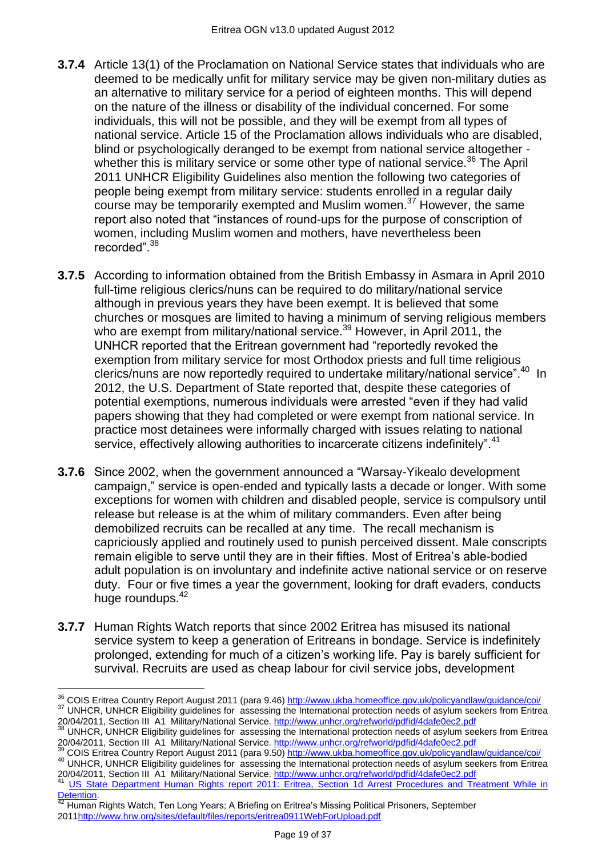- **3.7.4** Article 13(1) of the Proclamation on National Service states that individuals who are deemed to be medically unfit for military service may be given non-military duties as an alternative to military service for a period of eighteen months. This will depend on the nature of the illness or disability of the individual concerned. For some individuals, this will not be possible, and they will be exempt from all types of national service. Article 15 of the Proclamation allows individuals who are disabled, blind or psychologically deranged to be exempt from national service altogether whether this is military service or some other type of national service.<sup>36</sup> The April 2011 UNHCR Eligibility Guidelines also mention the following two categories of people being exempt from military service: students enrolled in a regular daily course may be temporarily exempted and Muslim women.<sup>37</sup> However, the same report also noted that "instances of round-ups for the purpose of conscription of women, including Muslim women and mothers, have nevertheless been recorded".<sup>38</sup>
- **3.7.5** According to information obtained from the British Embassy in Asmara in April 2010 full-time religious clerics/nuns can be required to do military/national service although in previous years they have been exempt. It is believed that some churches or mosques are limited to having a minimum of serving religious members who are exempt from military/national service.<sup>39</sup> However, in April 2011, the UNHCR reported that the Eritrean government had "reportedly revoked the exemption from military service for most Orthodox priests and full time religious clerics/nuns are now reportedly required to undertake military/national service".<sup>40</sup> In 2012, the U.S. Department of State reported that, despite these categories of potential exemptions, numerous individuals were arrested "even if they had valid papers showing that they had completed or were exempt from national service. In practice most detainees were informally charged with issues relating to national service, effectively allowing authorities to incarcerate citizens indefinitely".<sup>41</sup>
- **3.7.6** Since 2002, when the government announced a "Warsay-Yikealo development campaign," service is open-ended and typically lasts a decade or longer. With some exceptions for women with children and disabled people, service is compulsory until release but release is at the whim of military commanders. Even after being demobilized recruits can be recalled at any time. The recall mechanism is capriciously applied and routinely used to punish perceived dissent. Male conscripts remain eligible to serve until they are in their fifties. Most of Eritrea's able-bodied adult population is on involuntary and indefinite active national service or on reserve duty. Four or five times a year the government, looking for draft evaders, conducts huge roundups.<sup>42</sup>
- **3.7.7** Human Rights Watch reports that since 2002 Eritrea has misused its national service system to keep a generation of Eritreans in bondage. Service is indefinitely prolonged, extending for much of a citizen's working life. Pay is barely sufficient for survival. Recruits are used as cheap labour for civil service jobs, development

20/04/2011, Section III A1 Military/National Service. <http://www.unhcr.org/refworld/pdfid/4dafe0ec2.pdf> <sup>41</sup> [US State Department Human Rights report 2011: Eritrea, Section 1d Arrest Procedures and Treatment While in](http://www.state.gov/j/drl/rls/hrrpt/humanrightsreport/index.htm?dlid=186194#wrapper)   $\frac{20}{2}$ [Detention.](http://www.state.gov/j/drl/rls/hrrpt/humanrightsreport/index.htm?dlid=186194#wrapper)

 $\overline{a}$ <sup>36</sup> COIS Eritrea Country Report August 2011 (para 9.46) <http://www.ukba.homeoffice.gov.uk/policyandlaw/guidance/coi/> <sup>37</sup> UNHCR, UNHCR Eligibility guidelines for assessing the International protection needs of asylum seekers from Eritrea

<sup>20/04/2011,</sup> Section III A1 Military/National Service. <http://www.unhcr.org/refworld/pdfid/4dafe0ec2.pdf> UNHCR, UNHCR Eligibility guidelines for assessing the International protection needs of asylum seekers from Eritrea 20/04/2011, Section III A1 Military/National Service. <http://www.unhcr.org/refworld/pdfid/4dafe0ec2.pdf>

<sup>39</sup> COIS Eritrea Country Report August 2011 (para 9.50) <http://www.ukba.homeoffice.gov.uk/policyandlaw/guidance/coi/> <sup>40</sup> UNHCR, UNHCR Eligibility guidelines for assessing the International protection needs of asylum seekers from Eritrea

<sup>42</sup> Human Rights Watch, Ten Long Years; A Briefing on Eritrea's Missing Political Prisoners, September 201[1http://www.hrw.org/sites/default/files/reports/eritrea0911WebForUpload.pdf](http://www.hrw.org/sites/default/files/reports/eritrea0911WebForUpload.pdf)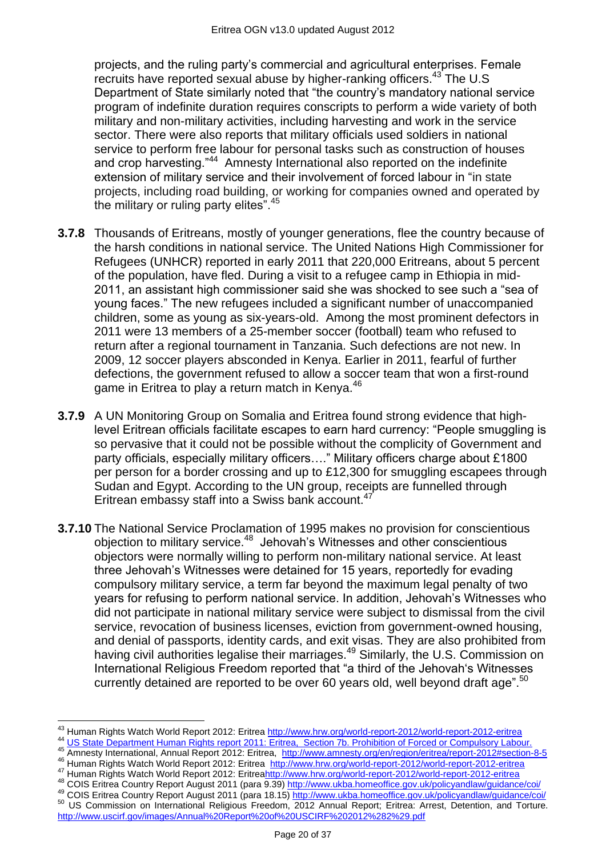projects, and the ruling party's commercial and agricultural enterprises. Female recruits have reported sexual abuse by higher-ranking officers.<sup>43</sup> The U.S Department of State similarly noted that "the country's mandatory national service program of indefinite duration requires conscripts to perform a wide variety of both military and non-military activities, including harvesting and work in the service sector. There were also reports that military officials used soldiers in national service to perform free labour for personal tasks such as construction of houses and crop harvesting."<sup>44</sup> Amnesty International also reported on the indefinite extension of military service and their involvement of forced labour in "in state projects, including road building, or working for companies owned and operated by the military or ruling party elites". $45$ 

- **3.7.8** Thousands of Eritreans, mostly of younger generations, flee the country because of the harsh conditions in national service. The United Nations High Commissioner for Refugees (UNHCR) reported in early 2011 that 220,000 Eritreans, about 5 percent of the population, have fled. During a visit to a refugee camp in Ethiopia in mid-2011, an assistant high commissioner said she was shocked to see such a "sea of young faces.‖ The new refugees included a significant number of unaccompanied children, some as young as six-years-old. Among the most prominent defectors in 2011 were 13 members of a 25-member soccer (football) team who refused to return after a regional tournament in Tanzania. Such defections are not new. In 2009, 12 soccer players absconded in Kenya. Earlier in 2011, fearful of further defections, the government refused to allow a soccer team that won a first-round game in Eritrea to play a return match in Kenva.<sup>46</sup>
- **3.7.9** A UN Monitoring Group on Somalia and Eritrea found strong evidence that highlevel Eritrean officials facilitate escapes to earn hard currency: "People smuggling is so pervasive that it could not be possible without the complicity of Government and party officials, especially military officers...." Military officers charge about £1800 per person for a border crossing and up to £12,300 for smuggling escapees through Sudan and Egypt. According to the UN group, receipts are funnelled through Eritrean embassy staff into a Swiss bank account.<sup>47</sup>
- **3.7.10** The National Service Proclamation of 1995 makes no provision for conscientious objection to military service.<sup>48</sup> Jehovah's Witnesses and other conscientious objectors were normally willing to perform non-military national service. At least three Jehovah's Witnesses were detained for 15 years, reportedly for evading compulsory military service, a term far beyond the maximum legal penalty of two years for refusing to perform national service. In addition, Jehovah's Witnesses who did not participate in national military service were subject to dismissal from the civil service, revocation of business licenses, eviction from government-owned housing, and denial of passports, identity cards, and exit visas. They are also prohibited from having civil authorities legalise their marriages.<sup>49</sup> Similarly, the U.S. Commission on International Religious Freedom reported that "a third of the Jehovah's Witnesses currently detained are reported to be over 60 years old, well beyond draft age".<sup>50</sup>

- 45 Amnesty International, Annual Report 2012: Eritrea, [http://www.amnesty.org/en/region/eritrea/report-2012#section-8-5](http://www.amnesty.org/en/region/eritrea/report-2012%23section-8-5)
- <sup>46</sup> Human Rights Watch World Report 2012: Eritrea <http://www.hrw.org/world-report-2012/world-report-2012-eritrea>

<sup>50</sup> US Commission on International Religious Freedom, 2012 Annual Report; Eritrea: Arrest, Detention, and Torture. <http://www.uscirf.gov/images/Annual%20Report%20of%20USCIRF%202012%282%29.pdf>

 $\overline{a}$ <sup>43</sup> Human Rights Watch World Report 2012: Eritrea <http://www.hrw.org/world-report-2012/world-report-2012-eritrea>

<sup>44</sup> [US State Department Human Rights report 2011: Eritrea, Section 7b. Prohibition of Forced or Compulsory Labour.](http://www.state.gov/j/drl/rls/hrrpt/humanrightsreport/index.htm?dlid=186194#wrapper)

<sup>&</sup>lt;sup>47</sup> Human Rights Watch World Report 2012: Eritre[ahttp://www.hrw.org/world-report-2012/world-report-2012-eritrea](http://www.hrw.org/world-report-2012/world-report-2012-eritrea) 48 COIS Eritrea Country Report August 2011 (para 9.39) <http://www.ukba.homeoffice.gov.uk/policyandlaw/guidance/coi/>

<sup>49</sup> COIS Eritrea Country Report August 2011 (para 18.15) <http://www.ukba.homeoffice.gov.uk/policyandlaw/guidance/coi/>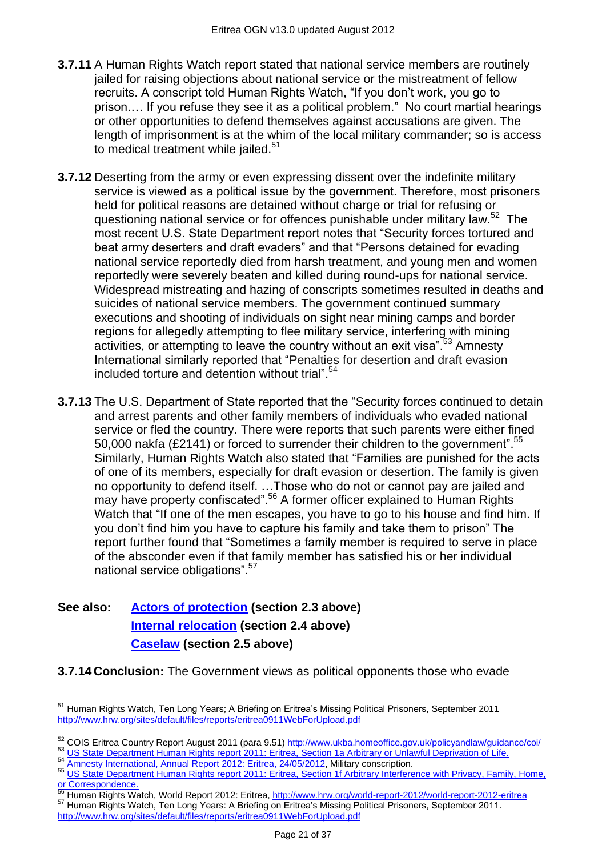- **3.7.11** A Human Rights Watch report stated that national service members are routinely jailed for raising objections about national service or the mistreatment of fellow recruits. A conscript told Human Rights Watch, "If you don't work, you go to prison.… If you refuse they see it as a political problem.‖ No court martial hearings or other opportunities to defend themselves against accusations are given. The length of imprisonment is at the whim of the local military commander; so is access to medical treatment while jailed.<sup>51</sup>
- **3.7.12** Deserting from the army or even expressing dissent over the indefinite military service is viewed as a political issue by the government. Therefore, most prisoners held for political reasons are detained without charge or trial for refusing or questioning national service or for offences punishable under military law.<sup>52</sup> The most recent U.S. State Department report notes that "Security forces tortured and beat army deserters and draft evaders" and that "Persons detained for evading national service reportedly died from harsh treatment, and young men and women reportedly were severely beaten and killed during round-ups for national service. Widespread mistreating and hazing of conscripts sometimes resulted in deaths and suicides of national service members. The government continued summary executions and shooting of individuals on sight near mining camps and border regions for allegedly attempting to flee military service, interfering with mining activities, or attempting to leave the country without an exit visa".<sup>53</sup> Amnesty International similarly reported that "Penalties for desertion and draft evasion included torture and detention without trial" $54$
- **3.7.13** The U.S. Department of State reported that the "Security forces continued to detain and arrest parents and other family members of individuals who evaded national service or fled the country. There were reports that such parents were either fined 50,000 nakfa (£2141) or forced to surrender their children to the government".<sup>55</sup> Similarly, Human Rights Watch also stated that "Families are punished for the acts of one of its members, especially for draft evasion or desertion. The family is given no opportunity to defend itself. …Those who do not or cannot pay are jailed and may have property confiscated".<sup>56</sup> A former officer explained to Human Rights Watch that "If one of the men escapes, you have to go to his house and find him. If you don't find him you have to capture his family and take them to prison" The report further found that "Sometimes a family member is required to serve in place of the absconder even if that family member has satisfied his or her individual national service obligations".<sup>57</sup>

# **See also: [Actors of protection](#page-1-1) (section 2.3 above) [Internal relocation](#page-3-0) (section 2.4 above) [Caselaw](#page-4-0) (section 2.5 above)**

**3.7.14 Conclusion:** The Government views as political opponents those who evade

54 [Amnesty International, Annual Report 2012: Eritrea, 24/05/2012,](http://www.amnesty.org/en/region/eritrea/report-2012#section-8-5) Military conscription.

<sup>56</sup> Human Rights Watch, World Report 2012: Eritrea, <http://www.hrw.org/world-report-2012/world-report-2012-eritrea>

<sup>57</sup> Human Rights Watch, Ten Long Years: A Briefing on Eritrea's Missing Political Prisoners, September 2011. <http://www.hrw.org/sites/default/files/reports/eritrea0911WebForUpload.pdf>

 $\overline{a}$ <sup>51</sup> Human Rights Watch, Ten Long Years; A Briefing on Eritrea's Missing Political Prisoners, September 2011 <http://www.hrw.org/sites/default/files/reports/eritrea0911WebForUpload.pdf>

<sup>52</sup> COIS Eritrea Country Report August 2011 (para 9.51) <http://www.ukba.homeoffice.gov.uk/policyandlaw/guidance/coi/>

<sup>53</sup> [US State Department Human Rights report 2011: Eritrea, Section 1a Arbitrary or Unlawful Deprivation of Life.](http://www.state.gov/j/drl/rls/hrrpt/humanrightsreport/index.htm?dlid=186194#wrapper)

<sup>55</sup> US State Department Human Rights report 2011: Eritrea, Section 1f Arbitrary Interference with Privacy, Family, Home, [or Correspondence.](http://www.state.gov/j/drl/rls/hrrpt/humanrightsreport/index.htm?dlid=186194#wrapper)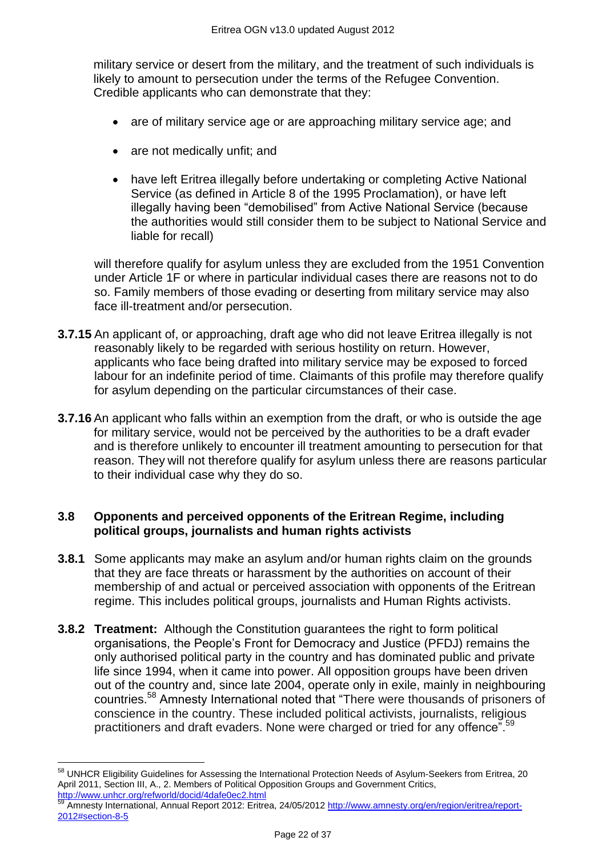military service or desert from the military, and the treatment of such individuals is likely to amount to persecution under the terms of the Refugee Convention. Credible applicants who can demonstrate that they:

- are of military service age or are approaching military service age; and
- are not medically unfit; and
- have left Eritrea illegally before undertaking or completing Active National Service (as defined in Article 8 of the 1995 Proclamation), or have left illegally having been "demobilised" from Active National Service (because the authorities would still consider them to be subject to National Service and liable for recall)

will therefore qualify for asylum unless they are excluded from the 1951 Convention under Article 1F or where in particular individual cases there are reasons not to do so. Family members of those evading or deserting from military service may also face ill-treatment and/or persecution.

- **3.7.15** An applicant of, or approaching, draft age who did not leave Eritrea illegally is not reasonably likely to be regarded with serious hostility on return. However, applicants who face being drafted into military service may be exposed to forced labour for an indefinite period of time. Claimants of this profile may therefore qualify for asylum depending on the particular circumstances of their case.
- **3.7.16** An applicant who falls within an exemption from the draft, or who is outside the age for military service, would not be perceived by the authorities to be a draft evader and is therefore unlikely to encounter ill treatment amounting to persecution for that reason. They will not therefore qualify for asylum unless there are reasons particular to their individual case why they do so.

#### **3.8 Opponents and perceived opponents of the Eritrean Regime, including political groups, journalists and human rights activists**

- **3.8.1** Some applicants may make an asylum and/or human rights claim on the grounds that they are face threats or harassment by the authorities on account of their membership of and actual or perceived association with opponents of the Eritrean regime. This includes political groups, journalists and Human Rights activists.
- **3.8.2 Treatment:** Although the Constitution guarantees the right to form political organisations, the People's Front for Democracy and Justice (PFDJ) remains the only authorised political party in the country and has dominated public and private life since 1994, when it came into power. All opposition groups have been driven out of the country and, since late 2004, operate only in exile, mainly in neighbouring countries.<sup>58</sup> Amnesty International noted that "There were thousands of prisoners of conscience in the country. These included political activists, journalists, religious practitioners and draft evaders. None were charged or tried for any offence<sup>".59</sup>

 $\overline{a}$ <sup>58</sup> UNHCR Eligibility Guidelines for Assessing the International Protection Needs of Asylum-Seekers from Eritrea, 20 April 2011, Section III, A., 2. Members of Political Opposition Groups and Government Critics, <http://www.unhcr.org/refworld/docid/4dafe0ec2.html>

<sup>59</sup> Amnesty International, Annual Report 2012: Eritrea, 24/05/2012 [http://www.amnesty.org/en/region/eritrea/report-](http://www.amnesty.org/en/region/eritrea/report-2012%23section-8-5)[2012#section-8-5](http://www.amnesty.org/en/region/eritrea/report-2012%23section-8-5)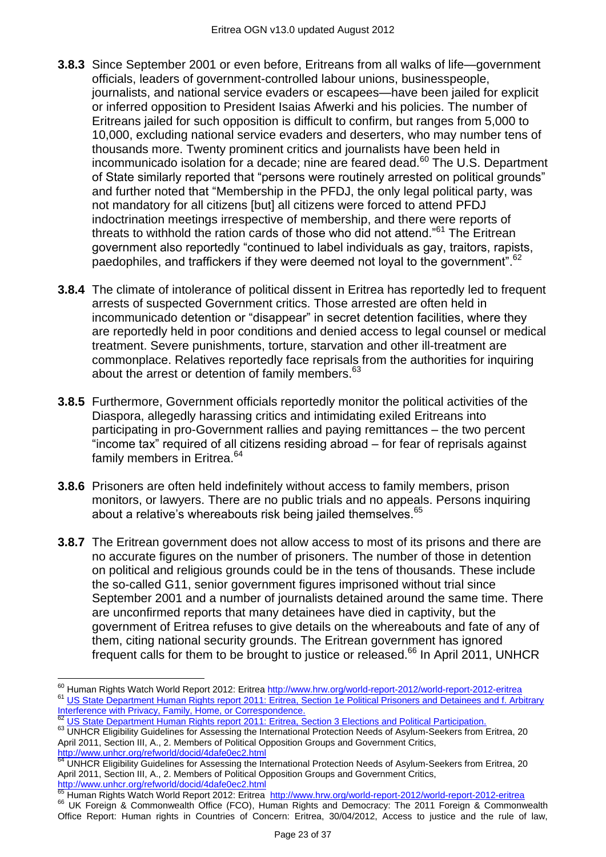- **3.8.3** Since September 2001 or even before, Eritreans from all walks of life—government officials, leaders of government-controlled labour unions, businesspeople, journalists, and national service evaders or escapees—have been jailed for explicit or inferred opposition to President Isaias Afwerki and his policies. The number of Eritreans jailed for such opposition is difficult to confirm, but ranges from 5,000 to 10,000, excluding national service evaders and deserters, who may number tens of thousands more. Twenty prominent critics and journalists have been held in incommunicado isolation for a decade; nine are feared dead. $60$  The U.S. Department of State similarly reported that "persons were routinely arrested on political grounds" and further noted that "Membership in the PFDJ, the only legal political party, was not mandatory for all citizens [but] all citizens were forced to attend PFDJ indoctrination meetings irrespective of membership, and there were reports of threats to withhold the ration cards of those who did not attend.<sup> $61$ </sup> The Eritrean government also reportedly "continued to label individuals as gay, traitors, rapists, paedophiles, and traffickers if they were deemed not loyal to the government".<sup>62</sup>
- **3.8.4** The climate of intolerance of political dissent in Eritrea has reportedly led to frequent arrests of suspected Government critics. Those arrested are often held in incommunicado detention or "disappear" in secret detention facilities, where they are reportedly held in poor conditions and denied access to legal counsel or medical treatment. Severe punishments, torture, starvation and other ill-treatment are commonplace. Relatives reportedly face reprisals from the authorities for inquiring about the arrest or detention of family members.<sup>63</sup>
- **3.8.5** Furthermore, Government officials reportedly monitor the political activities of the Diaspora, allegedly harassing critics and intimidating exiled Eritreans into participating in pro-Government rallies and paying remittances – the two percent ―income tax‖ required of all citizens residing abroad – for fear of reprisals against family members in Eritrea.<sup>64</sup>
- **3.8.6** Prisoners are often held indefinitely without access to family members, prison monitors, or lawyers. There are no public trials and no appeals. Persons inquiring about a relative's whereabouts risk being jailed themselves.<sup>65</sup>
- **3.8.7** The Eritrean government does not allow access to most of its prisons and there are no accurate figures on the number of prisoners. The number of those in detention on political and religious grounds could be in the tens of thousands. These include the so-called G11, senior government figures imprisoned without trial since September 2001 and a number of journalists detained around the same time. There are unconfirmed reports that many detainees have died in captivity, but the government of Eritrea refuses to give details on the whereabouts and fate of any of them, citing national security grounds. The Eritrean government has ignored frequent calls for them to be brought to justice or released.<sup>66</sup> In April 2011, UNHCR

 $\overline{a}$ 

<sup>&</sup>lt;sup>60</sup> Human Rights Watch World Report 2012: Eritrea <u><http://www.hrw.org/world-report-2012/world-report-2012-eritrea></u> 61 US State Department Human Rights report 2011: Eritrea, Section 1e Political Prisoners and Detainees and f. Arbitrary [Interference with Privacy, Family, Home, or Correspondence.](http://www.state.gov/j/drl/rls/hrrpt/humanrightsreport/index.htm?dlid=186194#wrapper)

<sup>&</sup>lt;sup>62</sup> [US State Department Human Rights report 2011: Eritrea, Section 3 Elections and Political Participation.](http://www.state.gov/j/drl/rls/hrrpt/humanrightsreport/index.htm?dlid=186194#wrapper)

<sup>63</sup> UNHCR Eligibility Guidelines for Assessing the International Protection Needs of Asylum-Seekers from Eritrea, 20 April 2011, Section III, A., 2. Members of Political Opposition Groups and Government Critics, <http://www.unhcr.org/refworld/docid/4dafe0ec2.html>

<sup>&</sup>lt;sup>64</sup> UNHCR Eligibility Guidelines for Assessing the International Protection Needs of Asylum-Seekers from Eritrea, 20 April 2011, Section III, A., 2. Members of Political Opposition Groups and Government Critics, <http://www.unhcr.org/refworld/docid/4dafe0ec2.html>

<sup>&</sup>lt;sup>65</sup> Human Rights Watch World Report 2012: Eritrea <http://www.hrw.org/world-report-2012/world-report-2012-eritrea>

<sup>&</sup>lt;sup>66</sup> UK Foreign & Commonwealth Office (FCO), Human Rights and Democracy: The 2011 Foreign & Commonwealth Office Report: Human rights in Countries of Concern: Eritrea, 30/04/2012, Access to justice and the rule of law,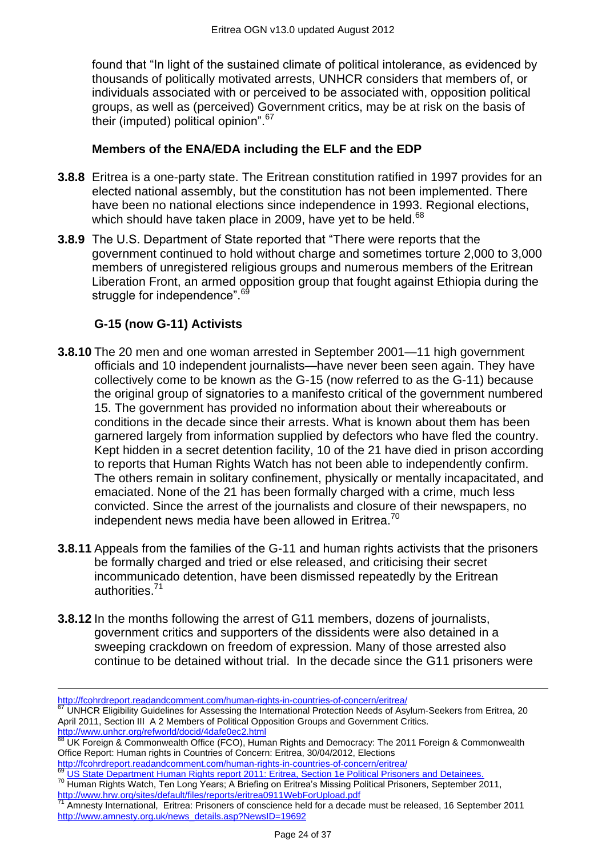found that "In light of the sustained climate of political intolerance, as evidenced by thousands of politically motivated arrests, UNHCR considers that members of, or individuals associated with or perceived to be associated with, opposition political groups, as well as (perceived) Government critics, may be at risk on the basis of their (imputed) political opinion". $67$ 

# **Members of the ENA/EDA including the ELF and the EDP**

- **3.8.8** Eritrea is a one-party state. The Eritrean constitution ratified in 1997 provides for an elected national assembly, but the constitution has not been implemented. There have been no national elections since independence in 1993. Regional elections, which should have taken place in 2009, have yet to be held.<sup>68</sup>
- **3.8.9** The U.S. Department of State reported that "There were reports that the government continued to hold without charge and sometimes torture 2,000 to 3,000 members of unregistered religious groups and numerous members of the Eritrean Liberation Front, an armed opposition group that fought against Ethiopia during the struggle for independence".<sup>69</sup>

# **G-15 (now G-11) Activists**

- **3.8.10** The 20 men and one woman arrested in September 2001—11 high government officials and 10 independent journalists—have never been seen again. They have collectively come to be known as the G-15 (now referred to as the G-11) because the original group of signatories to a manifesto critical of the government numbered 15. The government has provided no information about their whereabouts or conditions in the decade since their arrests. What is known about them has been garnered largely from information supplied by defectors who have fled the country. Kept hidden in a secret detention facility, 10 of the 21 have died in prison according to reports that Human Rights Watch has not been able to independently confirm. The others remain in solitary confinement, physically or mentally incapacitated, and emaciated. None of the 21 has been formally charged with a crime, much less convicted. Since the arrest of the journalists and closure of their newspapers, no independent news media have been allowed in Eritrea.<sup>70</sup>
- **3.8.11** Appeals from the families of the G-11 and human rights activists that the prisoners be formally charged and tried or else released, and criticising their secret incommunicado detention, have been dismissed repeatedly by the Eritrean authorities.<sup>71</sup>
- **3.8.12** In the months following the arrest of G11 members, dozens of journalists, government critics and supporters of the dissidents were also detained in a sweeping crackdown on freedom of expression. Many of those arrested also continue to be detained without trial. In the decade since the G11 prisoners were

 $\overline{a}$ <http://fcohrdreport.readandcomment.com/human-rights-in-countries-of-concern/eritrea/>

<sup>67</sup> UNHCR Eligibility Guidelines for Assessing the International Protection Needs of Asylum-Seekers from Eritrea, 20 April 2011, Section III A 2 Members of Political Opposition Groups and Government Critics. <http://www.unhcr.org/refworld/docid/4dafe0ec2.html>

<sup>&</sup>lt;sup>68</sup> UK Foreign & Commonwealth Office (FCO), Human Rights and Democracy: The 2011 Foreign & Commonwealth Office Report: Human rights in Countries of Concern: Eritrea, 30/04/2012, Elections

<http://fcohrdreport.readandcomment.com/human-rights-in-countries-of-concern/eritrea/> <sup>69</sup> [US State Department Human Rights report 2011: Eritrea, Section 1e Political Prisoners and Detainees.](http://www.state.gov/j/drl/rls/hrrpt/humanrightsreport/index.htm?dlid=186194#wrapper)

<sup>&</sup>lt;sup>70</sup> Human Rights Watch, Ten Long Years; A Briefing on Eritrea's Missing Political Prisoners, September 2011, <http://www.hrw.org/sites/default/files/reports/eritrea0911WebForUpload.pdf><br>71 Ampochy International Files Control Control of Control of Control of Control of Control of Control of Control of Control of Control of Control o

<sup>71</sup> Amnesty International, Eritrea: Prisoners of conscience held for a decade must be released, 16 September 2011 [http://www.amnesty.org.uk/news\\_details.asp?NewsID=19692](http://www.amnesty.org.uk/news_details.asp?NewsID=19692)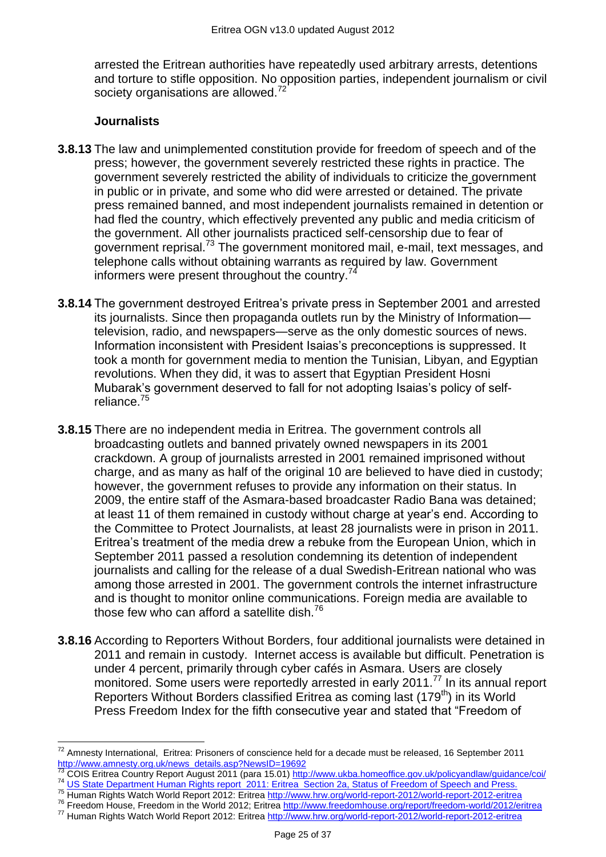arrested the Eritrean authorities have repeatedly used arbitrary arrests, detentions and torture to stifle opposition. No opposition parties, independent journalism or civil society organisations are allowed.<sup>72</sup>

# **Journalists**

 $\overline{a}$ 

- **3.8.13** The law and unimplemented constitution provide for freedom of speech and of the press; however, the government severely restricted these rights in practice. The government severely restricted the ability of individuals to criticize the government in public or in private, and some who did were arrested or detained. The private press remained banned, and most independent journalists remained in detention or had fled the country, which effectively prevented any public and media criticism of the government. All other journalists practiced self-censorship due to fear of government reprisal.<sup>73</sup> The government monitored mail, e-mail, text messages, and telephone calls without obtaining warrants as required by law. Government informers were present throughout the country. $74$
- **3.8.14** The government destroyed Eritrea's private press in September 2001 and arrested its journalists. Since then propaganda outlets run by the Ministry of Information television, radio, and newspapers—serve as the only domestic sources of news. Information inconsistent with President Isaias's preconceptions is suppressed. It took a month for government media to mention the Tunisian, Libyan, and Egyptian revolutions. When they did, it was to assert that Egyptian President Hosni Mubarak's government deserved to fall for not adopting Isaias's policy of selfreliance.<sup>75</sup>
- **3.8.15** There are no independent media in Eritrea. The government controls all broadcasting outlets and banned privately owned newspapers in its 2001 crackdown. A group of journalists arrested in 2001 remained imprisoned without charge, and as many as half of the original 10 are believed to have died in custody; however, the government refuses to provide any information on their status. In 2009, the entire staff of the Asmara-based broadcaster Radio Bana was detained; at least 11 of them remained in custody without charge at year's end. According to the Committee to Protect Journalists, at least 28 journalists were in prison in 2011. Eritrea's treatment of the media drew a rebuke from the European Union, which in September 2011 passed a resolution condemning its detention of independent journalists and calling for the release of a dual Swedish-Eritrean national who was among those arrested in 2001. The government controls the internet infrastructure and is thought to monitor online communications. Foreign media are available to those few who can afford a satellite dish. $^{76}$
- **3.8.16** According to Reporters Without Borders, four additional journalists were detained in 2011 and remain in custody. Internet access is available but difficult. Penetration is under 4 percent, primarily through cyber cafés in Asmara. Users are closely monitored. Some users were reportedly arrested in early 2011.<sup>77</sup> In its annual report Reporters Without Borders classified Eritrea as coming last (179<sup>th</sup>) in its World Press Freedom Index for the fifth consecutive year and stated that "Freedom of

<sup>76</sup> Freedom House, Freedom in the World 2012; Eritrea<http://www.freedomhouse.org/report/freedom-world/2012/eritrea>

 $^{72}$  Amnesty International, Eritrea: Prisoners of conscience held for a decade must be released, 16 September 2011 [http://www.amnesty.org.uk/news\\_details.asp?NewsID=19692](http://www.amnesty.org.uk/news_details.asp?NewsID=19692)

<sup>73</sup> COIS Eritrea Country Report August 2011 (para 15.01) <http://www.ukba.homeoffice.gov.uk/policyandlaw/guidance/coi/> <sup>74</sup> [US State Department Human Rights report 2011: Eritrea Section 2a, Status of Freedom of Speech and Press.](http://www.state.gov/j/drl/rls/hrrpt/humanrightsreport/index.htm?dlid=186194#wrapper)

<sup>&</sup>lt;sup>75</sup> Human Rights Watch World Report 2012: Eritrea<http://www.hrw.org/world-report-2012/world-report-2012-eritrea>

<sup>77</sup> Human Rights Watch World Report 2012: Eritrea<http://www.hrw.org/world-report-2012/world-report-2012-eritrea>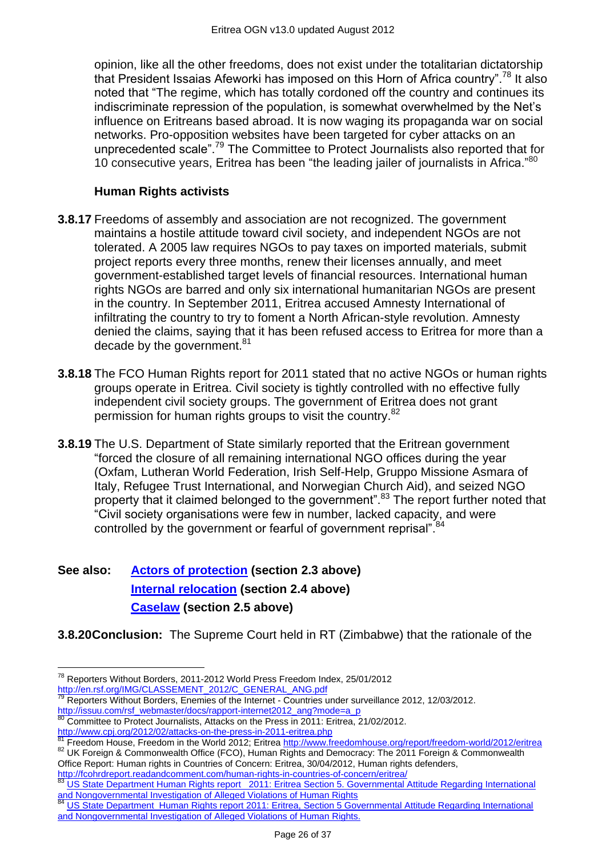opinion, like all the other freedoms, does not exist under the totalitarian dictatorship that President Issaias Afeworki has imposed on this Horn of Africa country".<sup>78</sup> It also noted that "The regime, which has totally cordoned off the country and continues its indiscriminate repression of the population, is somewhat overwhelmed by the Net's influence on Eritreans based abroad. It is now waging its propaganda war on social networks. Pro-opposition websites have been targeted for cyber attacks on an unprecedented scale".<sup>79</sup> The Committee to Protect Journalists also reported that for 10 consecutive years, Eritrea has been "the leading jailer of journalists in Africa." $80$ 

# **Human Rights activists**

- **3.8.17** Freedoms of assembly and association are not recognized. The government maintains a hostile attitude toward civil society, and independent NGOs are not tolerated. A 2005 law requires NGOs to pay taxes on imported materials, submit project reports every three months, renew their licenses annually, and meet government-established target levels of financial resources. International human rights NGOs are barred and only six international humanitarian NGOs are present in the country. In September 2011, Eritrea accused Amnesty International of infiltrating the country to try to foment a North African-style revolution. Amnesty denied the claims, saying that it has been refused access to Eritrea for more than a decade by the government. $81$
- **3.8.18** The FCO Human Rights report for 2011 stated that no active NGOs or human rights groups operate in Eritrea. Civil society is tightly controlled with no effective fully independent civil society groups. The government of Eritrea does not grant permission for human rights groups to visit the country.<sup>82</sup>
- **3.8.19** The U.S. Department of State similarly reported that the Eritrean government ―forced the closure of all remaining international NGO offices during the year (Oxfam, Lutheran World Federation, Irish Self-Help, Gruppo Missione Asmara of Italy, Refugee Trust International, and Norwegian Church Aid), and seized NGO property that it claimed belonged to the government".<sup>83</sup> The report further noted that "Civil society organisations were few in number, lacked capacity, and were controlled by the government or fearful of government reprisal".<sup>84</sup>

# **See also: [Actors of protection](#page-1-1) (section 2.3 above) [Internal relocation](#page-3-0) (section 2.4 above) [Caselaw](#page-4-0) (section 2.5 above)**

**3.8.20Conclusion:** The Supreme Court held in RT (Zimbabwe) that the rationale of the

 $\overline{a}$ 

<http://fcohrdreport.readandcomment.com/human-rights-in-countries-of-concern/eritrea/>

 $^{78}$  Reporters Without Borders, 2011-2012 World Press Freedom Index, 25/01/2012 [http://en.rsf.org/IMG/CLASSEMENT\\_2012/C\\_GENERAL\\_ANG.pdf](http://en.rsf.org/IMG/CLASSEMENT_2012/C_GENERAL_ANG.pdf)

<sup>79</sup> Reporters Without Borders, Enemies of the Internet - Countries under surveillance 2012, 12/03/2012. [http://issuu.com/rsf\\_webmaster/docs/rapport-internet2012\\_ang?mode=a\\_p](http://issuu.com/rsf_webmaster/docs/rapport-internet2012_ang?mode=a_p)

 $80$  Committee to Protect Journalists, Attacks on the Press in 2011: Eritrea, 21/02/2012.

<http://www.cpj.org/2012/02/attacks-on-the-press-in-2011-eritrea.php>

**<sup>81</sup>** Freedom House, Freedom in the World 2012; Eritrea<http://www.freedomhouse.org/report/freedom-world/2012/eritrea> 82 UK Foreign & Commonwealth Office (FCO), Human Rights and Democracy: The 2011 Foreign & Commonwealth Office Report: Human rights in Countries of Concern: Eritrea, 30/04/2012, Human rights defenders,

US State Department Human Rights report 2011: Eritrea Section 5. Governmental Attitude Regarding International [and Nongovernmental Investigation of Alleged Violations of Human Rights](http://www.state.gov/j/drl/rls/hrrpt/humanrightsreport/index.htm?dlid=186194#wrapper)<br>and Nongovernmental Investigation of Alleged Violations of Human Rights

US State Department Human Rights report 2011: Eritrea, Section 5 Governmental Attitude Regarding International [and Nongovernmental Investigation of Alleged Violations of Human Rights.](http://www.state.gov/j/drl/rls/hrrpt/humanrightsreport/index.htm?dlid=186194#wrapper)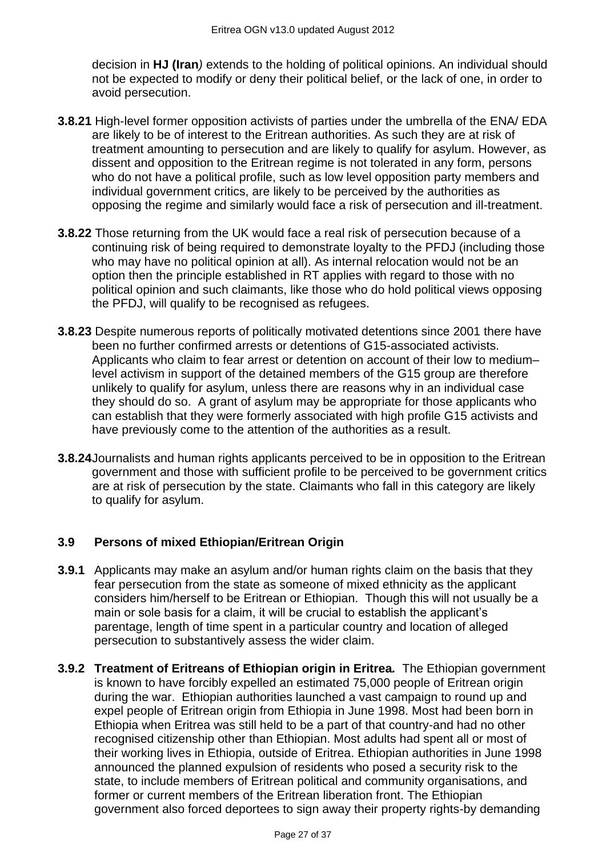decision in **HJ (Iran***)* extends to the holding of political opinions. An individual should not be expected to modify or deny their political belief, or the lack of one, in order to avoid persecution.

- **3.8.21** High-level former opposition activists of parties under the umbrella of the ENA/ EDA are likely to be of interest to the Eritrean authorities. As such they are at risk of treatment amounting to persecution and are likely to qualify for asylum. However, as dissent and opposition to the Eritrean regime is not tolerated in any form, persons who do not have a political profile, such as low level opposition party members and individual government critics, are likely to be perceived by the authorities as opposing the regime and similarly would face a risk of persecution and ill-treatment.
- **3.8.22** Those returning from the UK would face a real risk of persecution because of a continuing risk of being required to demonstrate loyalty to the PFDJ (including those who may have no political opinion at all). As internal relocation would not be an option then the principle established in RT applies with regard to those with no political opinion and such claimants, like those who do hold political views opposing the PFDJ, will qualify to be recognised as refugees.
- **3.8.23** Despite numerous reports of politically motivated detentions since 2001 there have been no further confirmed arrests or detentions of G15-associated activists. Applicants who claim to fear arrest or detention on account of their low to medium– level activism in support of the detained members of the G15 group are therefore unlikely to qualify for asylum, unless there are reasons why in an individual case they should do so. A grant of asylum may be appropriate for those applicants who can establish that they were formerly associated with high profile G15 activists and have previously come to the attention of the authorities as a result.
- **3.8.24**Journalists and human rights applicants perceived to be in opposition to the Eritrean government and those with sufficient profile to be perceived to be government critics are at risk of persecution by the state. Claimants who fall in this category are likely to qualify for asylum.

# **3.9 Persons of mixed Ethiopian/Eritrean Origin**

- **3.9.1** Applicants may make an asylum and/or human rights claim on the basis that they fear persecution from the state as someone of mixed ethnicity as the applicant considers him/herself to be Eritrean or Ethiopian. Though this will not usually be a main or sole basis for a claim, it will be crucial to establish the applicant's parentage, length of time spent in a particular country and location of alleged persecution to substantively assess the wider claim.
- **3.9.2 Treatment of Eritreans of Ethiopian origin in Eritrea***.* The Ethiopian government is known to have forcibly expelled an estimated 75,000 people of Eritrean origin during the war. Ethiopian authorities launched a vast campaign to round up and expel people of Eritrean origin from Ethiopia in June 1998. Most had been born in Ethiopia when Eritrea was still held to be a part of that country-and had no other recognised citizenship other than Ethiopian. Most adults had spent all or most of their working lives in Ethiopia, outside of Eritrea. Ethiopian authorities in June 1998 announced the planned expulsion of residents who posed a security risk to the state, to include members of Eritrean political and community organisations, and former or current members of the Eritrean liberation front. The Ethiopian government also forced deportees to sign away their property rights-by demanding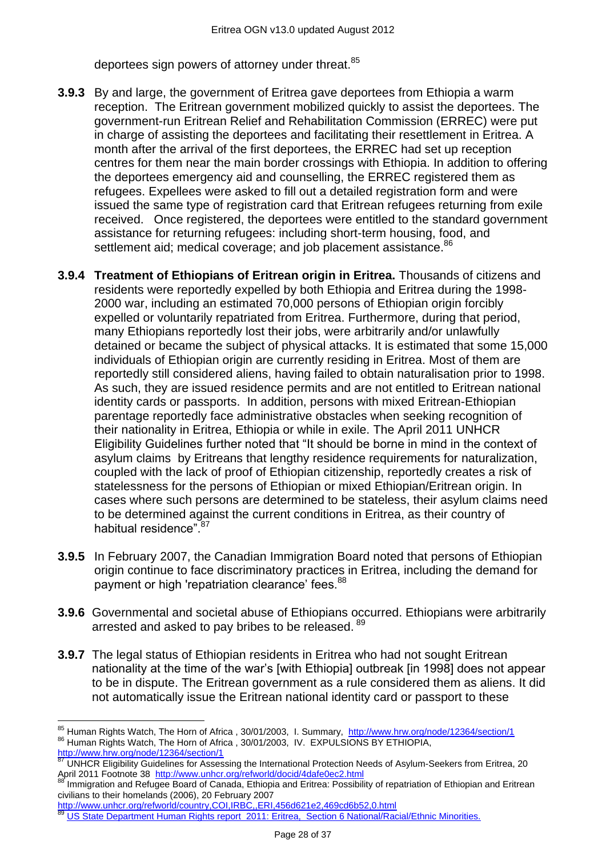deportees sign powers of attorney under threat.<sup>85</sup>

- **3.9.3** By and large, the government of Eritrea gave deportees from Ethiopia a warm reception. The Eritrean government mobilized quickly to assist the deportees. The government-run Eritrean Relief and Rehabilitation Commission (ERREC) were put in charge of assisting the deportees and facilitating their resettlement in Eritrea. A month after the arrival of the first deportees, the ERREC had set up reception centres for them near the main border crossings with Ethiopia. In addition to offering the deportees emergency aid and counselling, the ERREC registered them as refugees. Expellees were asked to fill out a detailed registration form and were issued the same type of registration card that Eritrean refugees returning from exile received. Once registered, the deportees were entitled to the standard government assistance for returning refugees: including short-term housing, food, and settlement aid; medical coverage; and job placement assistance.<sup>86</sup>
- **3.9.4 Treatment of Ethiopians of Eritrean origin in Eritrea.** Thousands of citizens and residents were reportedly expelled by both Ethiopia and Eritrea during the 1998- 2000 war, including an estimated 70,000 persons of Ethiopian origin forcibly expelled or voluntarily repatriated from Eritrea. Furthermore, during that period, many Ethiopians reportedly lost their jobs, were arbitrarily and/or unlawfully detained or became the subject of physical attacks. It is estimated that some 15,000 individuals of Ethiopian origin are currently residing in Eritrea. Most of them are reportedly still considered aliens, having failed to obtain naturalisation prior to 1998. As such, they are issued residence permits and are not entitled to Eritrean national identity cards or passports. In addition, persons with mixed Eritrean-Ethiopian parentage reportedly face administrative obstacles when seeking recognition of their nationality in Eritrea, Ethiopia or while in exile. The April 2011 UNHCR Eligibility Guidelines further noted that "It should be borne in mind in the context of asylum claims by Eritreans that lengthy residence requirements for naturalization, coupled with the lack of proof of Ethiopian citizenship, reportedly creates a risk of statelessness for the persons of Ethiopian or mixed Ethiopian/Eritrean origin. In cases where such persons are determined to be stateless, their asylum claims need to be determined against the current conditions in Eritrea, as their country of habitual residence"<sup>87</sup>
- **3.9.5** In February 2007, the Canadian Immigration Board noted that persons of Ethiopian origin continue to face discriminatory practices in Eritrea, including the demand for payment or high 'repatriation clearance' fees.<sup>88</sup>
- **3.9.6** Governmental and societal abuse of Ethiopians occurred. Ethiopians were arbitrarily arrested and asked to pay bribes to be released. 89
- **3.9.7** The legal status of Ethiopian residents in Eritrea who had not sought Eritrean nationality at the time of the war's [with Ethiopia] outbreak [in 1998] does not appear to be in dispute. The Eritrean government as a rule considered them as aliens. It did not automatically issue the Eritrean national identity card or passport to these

 $\overline{a}$ <sup>85</sup> Human Rights Watch, The Horn of Africa, 30/01/2003, I. Summary, <http://www.hrw.org/node/12364/section/1> 86 Human Rights Watch, The Horn of Africa , 30/01/2003, IV. EXPULSIONS BY ETHIOPIA,

<http://www.hrw.org/node/12364/section/1><br><sup>87</sup> ப்புப**ு** புக்காக வி

<sup>87</sup> UNHCR Eligibility Guidelines for Assessing the International Protection Needs of Asylum-Seekers from Eritrea, 20 April 2011 Footnote 38 <http://www.unhcr.org/refworld/docid/4dafe0ec2.html>

Immigration and Refugee Board of Canada, Ethiopia and Eritrea: Possibility of repatriation of Ethiopian and Eritrean civilians to their homelands (2006), 20 February 2007

<http://www.unhcr.org/refworld/country,COI,IRBC,,ERI,456d621e2,469cd6b52,0.html>

[US State Department Human Rights report 2011: Eritrea, Section 6 National/Racial/Ethnic Minorities.](http://www.state.gov/j/drl/rls/hrrpt/humanrightsreport/index.htm?dlid=186194#wrapper)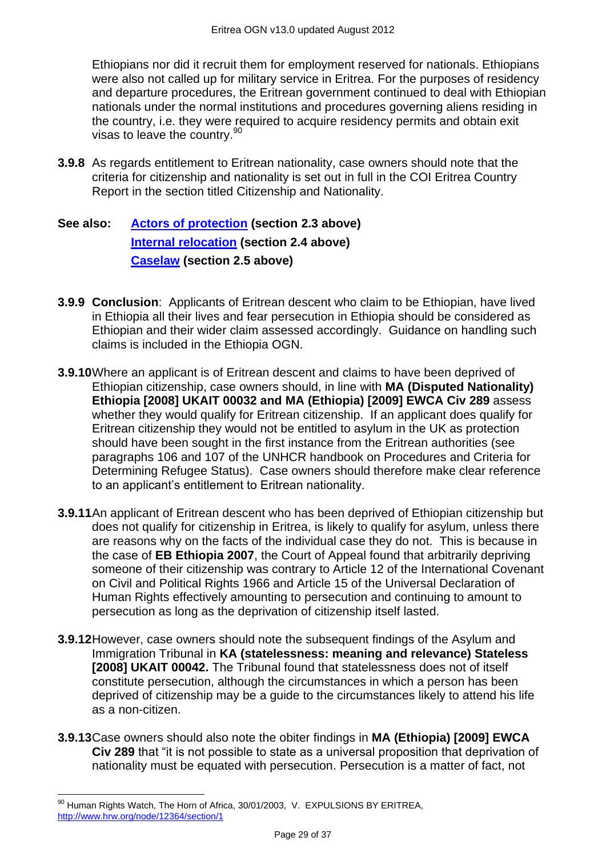Ethiopians nor did it recruit them for employment reserved for nationals. Ethiopians were also not called up for military service in Eritrea. For the purposes of residency and departure procedures, the Eritrean government continued to deal with Ethiopian nationals under the normal institutions and procedures governing aliens residing in the country, i.e. they were required to acquire residency permits and obtain exit visas to leave the country.<sup>90</sup>

**3.9.8** As regards entitlement to Eritrean nationality, case owners should note that the criteria for citizenship and nationality is set out in full in the COI Eritrea Country Report in the section titled Citizenship and Nationality.

**See also: [Actors of protection](#page-1-1) (section 2.3 above) [Internal relocation](#page-3-0) (section 2.4 above) [Caselaw](#page-4-0) (section 2.5 above)**

- **3.9.9 Conclusion**: Applicants of Eritrean descent who claim to be Ethiopian, have lived in Ethiopia all their lives and fear persecution in Ethiopia should be considered as Ethiopian and their wider claim assessed accordingly. Guidance on handling such claims is included in the Ethiopia OGN.
- **3.9.10**Where an applicant is of Eritrean descent and claims to have been deprived of Ethiopian citizenship, case owners should, in line with **MA (Disputed Nationality) Ethiopia [2008] UKAIT 00032 and MA (Ethiopia) [2009] EWCA Civ 289** assess whether they would qualify for Eritrean citizenship. If an applicant does qualify for Eritrean citizenship they would not be entitled to asylum in the UK as protection should have been sought in the first instance from the Eritrean authorities (see paragraphs 106 and 107 of the UNHCR handbook on Procedures and Criteria for Determining Refugee Status). Case owners should therefore make clear reference to an applicant's entitlement to Eritrean nationality.
- **3.9.11**An applicant of Eritrean descent who has been deprived of Ethiopian citizenship but does not qualify for citizenship in Eritrea, is likely to qualify for asylum, unless there are reasons why on the facts of the individual case they do not. This is because in the case of **EB Ethiopia 2007**, the Court of Appeal found that arbitrarily depriving someone of their citizenship was contrary to Article 12 of the International Covenant on Civil and Political Rights 1966 and Article 15 of the Universal Declaration of Human Rights effectively amounting to persecution and continuing to amount to persecution as long as the deprivation of citizenship itself lasted.
- **3.9.12**However, case owners should note the subsequent findings of the Asylum and Immigration Tribunal in **KA (statelessness: meaning and relevance) Stateless [2008] UKAIT 00042.** The Tribunal found that statelessness does not of itself constitute persecution, although the circumstances in which a person has been deprived of citizenship may be a guide to the circumstances likely to attend his life as a non-citizen.
- **3.9.13**Case owners should also note the obiter findings in **MA (Ethiopia) [2009] EWCA Civ 289** that "it is not possible to state as a universal proposition that deprivation of nationality must be equated with persecution. Persecution is a matter of fact, not

 $\overline{a}$ <sup>90</sup> Human Rights Watch, The Horn of Africa, 30/01/2003, V. EXPULSIONS BY ERITREA, <http://www.hrw.org/node/12364/section/1>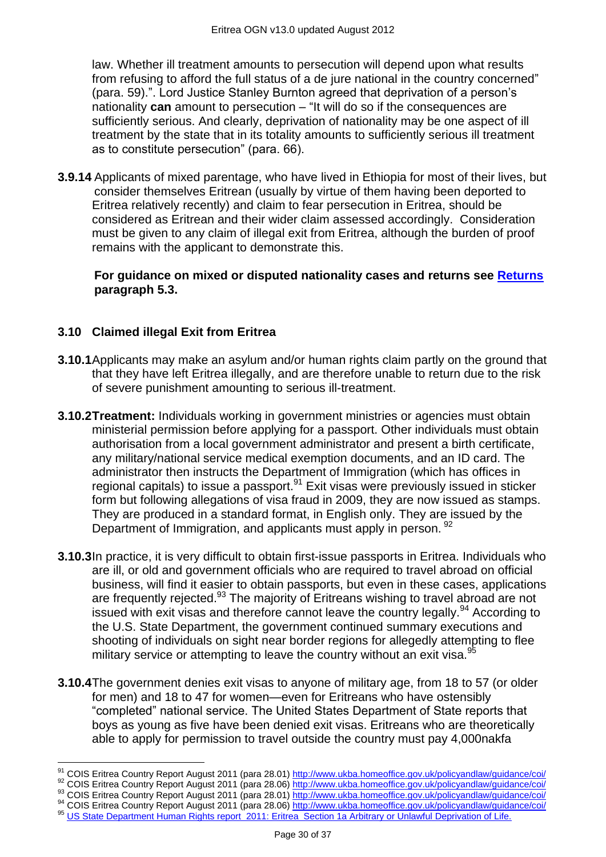law. Whether ill treatment amounts to persecution will depend upon what results from refusing to afford the full status of a de jure national in the country concerned" (para. 59).". Lord Justice Stanley Burnton agreed that deprivation of a person's nationality **can** amount to persecution – "It will do so if the consequences are sufficiently serious. And clearly, deprivation of nationality may be one aspect of ill treatment by the state that in its totality amounts to sufficiently serious ill treatment as to constitute persecution" (para. 66).

**3.9.14** Applicants of mixed parentage, who have lived in Ethiopia for most of their lives, but consider themselves Eritrean (usually by virtue of them having been deported to Eritrea relatively recently) and claim to fear persecution in Eritrea, should be considered as Eritrean and their wider claim assessed accordingly. Consideration must be given to any claim of illegal exit from Eritrea, although the burden of proof remains with the applicant to demonstrate this.

**For guidance on mixed or disputed nationality cases and returns see [Returns](#page-35-0) paragraph 5.3.** 

# **3.10 Claimed illegal Exit from Eritrea**

 $\overline{a}$ 

- **3.10.1**Applicants may make an asylum and/or human rights claim partly on the ground that that they have left Eritrea illegally, and are therefore unable to return due to the risk of severe punishment amounting to serious ill-treatment.
- **3.10.2Treatment:** Individuals working in government ministries or agencies must obtain ministerial permission before applying for a passport. Other individuals must obtain authorisation from a local government administrator and present a birth certificate, any military/national service medical exemption documents, and an ID card. The administrator then instructs the Department of Immigration (which has offices in regional capitals) to issue a passport.<sup>91</sup> Exit visas were previously issued in sticker form but following allegations of visa fraud in 2009, they are now issued as stamps. They are produced in a standard format, in English only. They are issued by the Department of Immigration, and applicants must apply in person. <sup>92</sup>
- **3.10.3**In practice, it is very difficult to obtain first-issue passports in Eritrea. Individuals who are ill, or old and government officials who are required to travel abroad on official business, will find it easier to obtain passports, but even in these cases, applications are frequently rejected.<sup>93</sup> The majority of Eritreans wishing to travel abroad are not issued with exit visas and therefore cannot leave the country legally.<sup>94</sup> According to the U.S. State Department, the government continued summary executions and shooting of individuals on sight near border regions for allegedly attempting to flee military service or attempting to leave the country without an exit visa.<sup>95</sup>
- **3.10.4**The government denies exit visas to anyone of military age, from 18 to 57 (or older for men) and 18 to 47 for women—even for Eritreans who have ostensibly ―completed‖ national service. The United States Department of State reports that boys as young as five have been denied exit visas. Eritreans who are theoretically able to apply for permission to travel outside the country must pay 4,000nakfa

<sup>91</sup> COIS Eritrea Country Report August 2011 (para 28.01[\) http://www.ukba.homeoffice.gov.uk/policyandlaw/guidance/coi/](http://www.ukba.homeoffice.gov.uk/policyandlaw/guidance/coi/)

<sup>92</sup> COIS Eritrea Country Report August 2011 (para 28.06[\) http://www.ukba.homeoffice.gov.uk/policyandlaw/guidance/coi/](http://www.ukba.homeoffice.gov.uk/policyandlaw/guidance/coi/)

<sup>93</sup> COIS Eritrea Country Report August 2011 (para 28.01[\) http://www.ukba.homeoffice.gov.uk/policyandlaw/guidance/coi/](http://www.ukba.homeoffice.gov.uk/policyandlaw/guidance/coi/) 94 COIS Eritrea Country Report August 2011 (para 28.06[\) http://www.ukba.homeoffice.gov.uk/policyandlaw/guidance/coi/](http://www.ukba.homeoffice.gov.uk/policyandlaw/guidance/coi/)

<sup>95</sup> [US State Department Human Rights report 2011: Eritrea Section 1a Arbitrary or Unlawful](http://www.state.gov/j/drl/rls/hrrpt/humanrightsreport/index.htm?dlid=186194#wrapper) Deprivation of Life.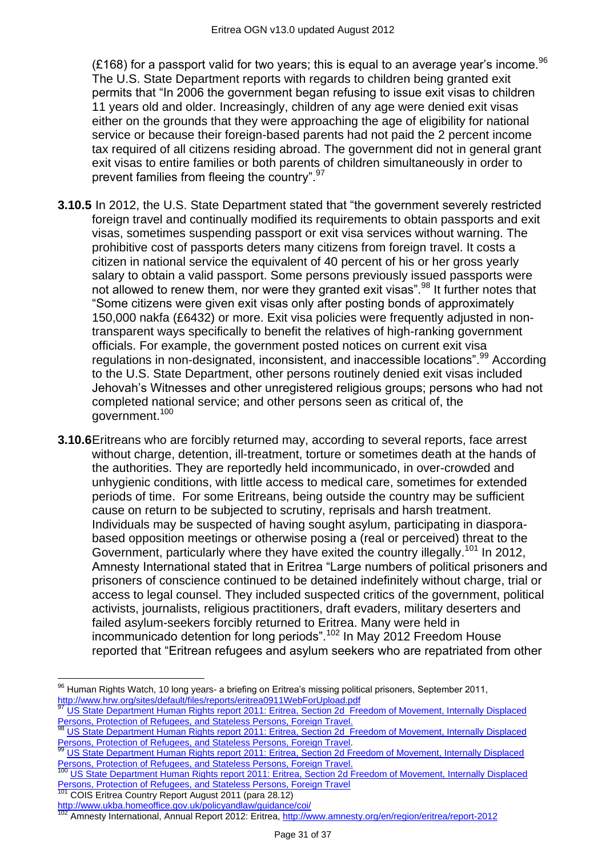(£168) for a passport valid for two years; this is equal to an average year's income.<sup>96</sup> The U.S. State Department reports with regards to children being granted exit permits that "In 2006 the government began refusing to issue exit visas to children 11 years old and older. Increasingly, children of any age were denied exit visas either on the grounds that they were approaching the age of eligibility for national service or because their foreign-based parents had not paid the 2 percent income tax required of all citizens residing abroad. The government did not in general grant exit visas to entire families or both parents of children simultaneously in order to prevent families from fleeing the country".<sup>97</sup>

- **3.10.5** In 2012, the U.S. State Department stated that "the government severely restricted foreign travel and continually modified its requirements to obtain passports and exit visas, sometimes suspending passport or exit visa services without warning. The prohibitive cost of passports deters many citizens from foreign travel. It costs a citizen in national service the equivalent of 40 percent of his or her gross yearly salary to obtain a valid passport. Some persons previously issued passports were not allowed to renew them, nor were they granted exit visas".<sup>98</sup> It further notes that ―Some citizens were given exit visas only after posting bonds of approximately 150,000 nakfa (£6432) or more. Exit visa policies were frequently adjusted in nontransparent ways specifically to benefit the relatives of high-ranking government officials. For example, the government posted notices on current exit visa regulations in non-designated, inconsistent, and inaccessible locations".<sup>99</sup> According to the U.S. State Department, other persons routinely denied exit visas included Jehovah's Witnesses and other unregistered religious groups; persons who had not completed national service; and other persons seen as critical of, the government.<sup>100</sup>
- **3.10.6**Eritreans who are forcibly returned may, according to several reports, face arrest without charge, detention, ill-treatment, torture or sometimes death at the hands of the authorities. They are reportedly held incommunicado, in over-crowded and unhygienic conditions, with little access to medical care, sometimes for extended periods of time. For some Eritreans, being outside the country may be sufficient cause on return to be subjected to scrutiny, reprisals and harsh treatment. Individuals may be suspected of having sought asylum, participating in diasporabased opposition meetings or otherwise posing a (real or perceived) threat to the Government, particularly where they have exited the country illegally.<sup>101</sup> In 2012, Amnesty International stated that in Eritrea "Large numbers of political prisoners and prisoners of conscience continued to be detained indefinitely without charge, trial or access to legal counsel. They included suspected critics of the government, political activists, journalists, religious practitioners, draft evaders, military deserters and failed asylum-seekers forcibly returned to Eritrea. Many were held in incommunicado detention for long periods".<sup>102</sup> In May 2012 Freedom House reported that "Eritrean refugees and asylum seekers who are repatriated from other

**Persons, Protection of Netageoc, and State Persons 2011** (para 28.12)

 $\overline{a}$ 

 $96$  Human Rights Watch, 10 long years- a briefing on Eritrea's missing political prisoners, September 2011, <http://www.hrw.org/sites/default/files/reports/eritrea0911WebForUpload.pdf>

<sup>97</sup> [US State Department Human Rights report 2011: Eritrea, Section 2d](http://www.state.gov/j/drl/rls/hrrpt/humanrightsreport/index.htm?dlid=186194#wrapper) Freedom of Movement, Internally Displaced [Persons, Protection of Refugees, and Stateless Persons, Foreign Travel.](http://www.state.gov/j/drl/rls/hrrpt/humanrightsreport/index.htm?dlid=186194#wrapper)

[US State Department Human Rights report 2011: Eritrea, Section 2d](http://www.state.gov/j/drl/rls/hrrpt/humanrightsreport/index.htm?dlid=186194#wrapper) Freedom of Movement, Internally Displaced [Persons, Protection of Refugees, and Stateless Persons, Foreign Travel.](http://www.state.gov/j/drl/rls/hrrpt/humanrightsreport/index.htm?dlid=186194#wrapper)

<sup>99</sup> [US State Department Human Rights report 2011: Eritrea, Section 2d Freedom of Movement, Internally Displaced](http://www.state.gov/j/drl/rls/hrrpt/humanrightsreport/index.htm?dlid=186194#wrapper)  [Persons, Protection of Refugees, and Stateless Persons, Foreign Travel.](http://www.state.gov/j/drl/rls/hrrpt/humanrightsreport/index.htm?dlid=186194#wrapper)

US State Department Human Rights report 2011: Eritrea, Section 2d Freedom of Movement, Internally Displaced [Persons, Protection of Refugees, and Stateless Persons, Foreign Travel](http://www.state.gov/j/drl/rls/hrrpt/humanrightsreport/index.htm?dlid=186194#wrapper)

<http://www.ukba.homeoffice.gov.uk/policyandlaw/guidance/coi/> <sup>102</sup> Amnesty International, Annual Report 2012: Eritrea, <http://www.amnesty.org/en/region/eritrea/report-2012>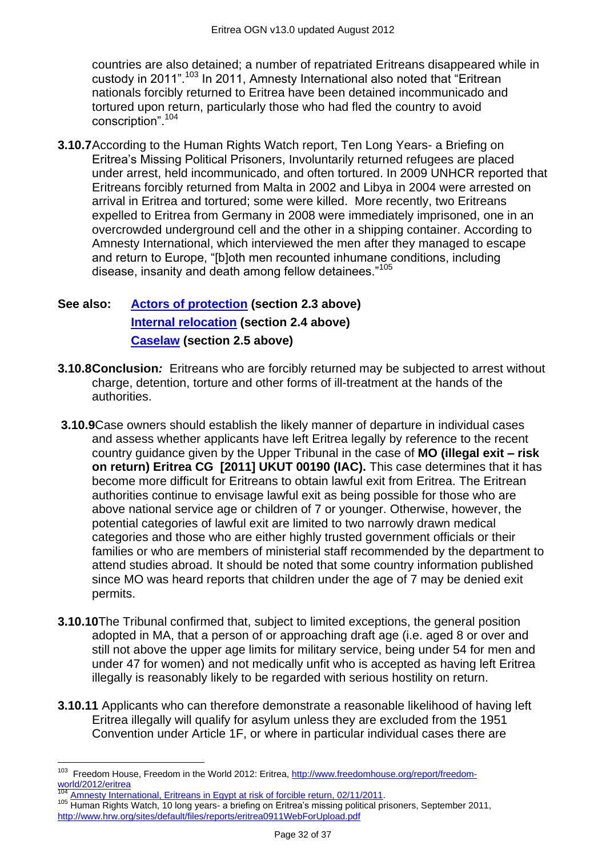countries are also detained; a number of repatriated Eritreans disappeared while in custody in 2011<sup>".103</sup> In 2011, Amnesty International also noted that "Eritrean" nationals forcibly returned to Eritrea have been detained incommunicado and tortured upon return, particularly those who had fled the country to avoid conscription".<sup>104</sup>

**3.10.7**According to the Human Rights Watch report, Ten Long Years- a Briefing on Eritrea's Missing Political Prisoners, Involuntarily returned refugees are placed under arrest, held incommunicado, and often tortured. In 2009 UNHCR reported that Eritreans forcibly returned from Malta in 2002 and Libya in 2004 were arrested on arrival in Eritrea and tortured; some were killed. More recently, two Eritreans expelled to Eritrea from Germany in 2008 were immediately imprisoned, one in an overcrowded underground cell and the other in a shipping container. According to Amnesty International, which interviewed the men after they managed to escape and return to Europe, "[b]oth men recounted inhumane conditions, including disease, insanity and death among fellow detainees."<sup>105</sup>

# **See also: [Actors of protection](#page-1-1) (section 2.3 above) [Internal relocation](#page-3-0) (section 2.4 above) [Caselaw](#page-4-0) (section 2.5 above)**

- **3.10.8Conclusion***:* Eritreans who are forcibly returned may be subjected to arrest without charge, detention, torture and other forms of ill-treatment at the hands of the authorities.
- **3.10.9**Case owners should establish the likely manner of departure in individual cases and assess whether applicants have left Eritrea legally by reference to the recent country guidance given by the Upper Tribunal in the case of **MO (illegal exit – risk on return) Eritrea CG [2011] UKUT 00190 (IAC).** This case determines that it has become more difficult for Eritreans to obtain lawful exit from Eritrea. The Eritrean authorities continue to envisage lawful exit as being possible for those who are above national service age or children of 7 or younger. Otherwise, however, the potential categories of lawful exit are limited to two narrowly drawn medical categories and those who are either highly trusted government officials or their families or who are members of ministerial staff recommended by the department to attend studies abroad. It should be noted that some country information published since MO was heard reports that children under the age of 7 may be denied exit permits.
- **3.10.10**The Tribunal confirmed that, subject to limited exceptions, the general position adopted in MA, that a person of or approaching draft age (i.e. aged 8 or over and still not above the upper age limits for military service, being under 54 for men and under 47 for women) and not medically unfit who is accepted as having left Eritrea illegally is reasonably likely to be regarded with serious hostility on return.
- **3.10.11** Applicants who can therefore demonstrate a reasonable likelihood of having left Eritrea illegally will qualify for asylum unless they are excluded from the 1951 Convention under Article 1F, or where in particular individual cases there are

 103 Freedom House, Freedom in the World 2012: Eritrea, [http://www.freedomhouse.org/report/freedom](http://www.freedomhouse.org/report/freedom-world/2012/eritrea)[world/2012/eritrea](http://www.freedomhouse.org/report/freedom-world/2012/eritrea)

[Amnesty International, Eritreans in Egypt at risk of forcible return, 02/11/2011.](http://www.amnesty.org/en/library/asset/MDE12/055/2011/en/cec4b066-efdd-4df1-be69-61ca5f866445/mde120552011en.pdf)

<sup>&</sup>lt;sup>105</sup> Human Rights Watch, 10 long years- a briefing on Eritrea's missing political prisoners, September 2011, <http://www.hrw.org/sites/default/files/reports/eritrea0911WebForUpload.pdf>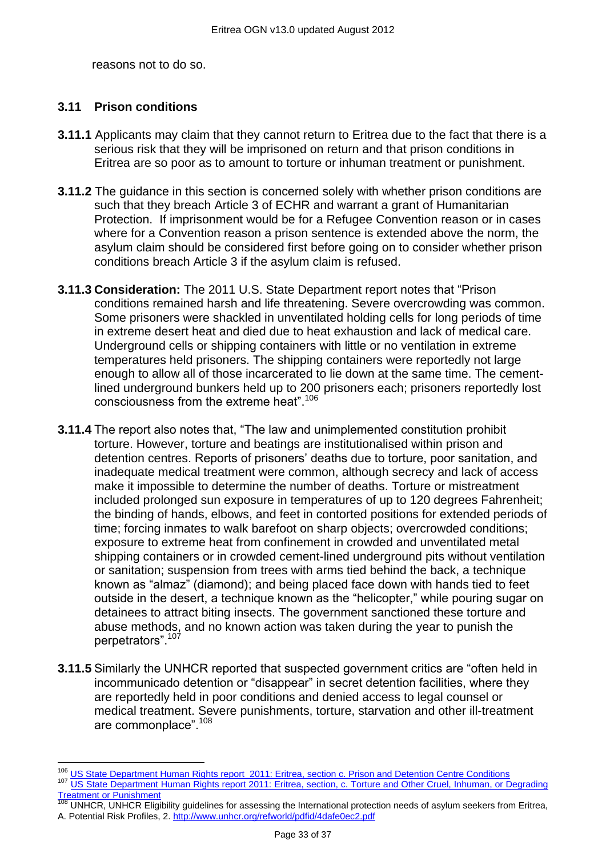reasons not to do so.

# **3.11 Prison conditions**

 $\overline{a}$ 

- **3.11.1** Applicants may claim that they cannot return to Eritrea due to the fact that there is a serious risk that they will be imprisoned on return and that prison conditions in Eritrea are so poor as to amount to torture or inhuman treatment or punishment.
- **3.11.2** The guidance in this section is concerned solely with whether prison conditions are such that they breach Article 3 of ECHR and warrant a grant of Humanitarian Protection. If imprisonment would be for a Refugee Convention reason or in cases where for a Convention reason a prison sentence is extended above the norm, the asylum claim should be considered first before going on to consider whether prison conditions breach Article 3 if the asylum claim is refused.
- **3.11.3 Consideration:** The 2011 U.S. State Department report notes that "Prison" conditions remained harsh and life threatening. Severe overcrowding was common. Some prisoners were shackled in unventilated holding cells for long periods of time in extreme desert heat and died due to heat exhaustion and lack of medical care. Underground cells or shipping containers with little or no ventilation in extreme temperatures held prisoners. The shipping containers were reportedly not large enough to allow all of those incarcerated to lie down at the same time. The cementlined underground bunkers held up to 200 prisoners each; prisoners reportedly lost consciousness from the extreme heat".<sup>106</sup>
- **3.11.4** The report also notes that, "The law and unimplemented constitution prohibit torture. However, torture and beatings are institutionalised within prison and detention centres. Reports of prisoners' deaths due to torture, poor sanitation, and inadequate medical treatment were common, although secrecy and lack of access make it impossible to determine the number of deaths. Torture or mistreatment included prolonged sun exposure in temperatures of up to 120 degrees Fahrenheit; the binding of hands, elbows, and feet in contorted positions for extended periods of time; forcing inmates to walk barefoot on sharp objects; overcrowded conditions; exposure to extreme heat from confinement in crowded and unventilated metal shipping containers or in crowded cement-lined underground pits without ventilation or sanitation; suspension from trees with arms tied behind the back, a technique known as "almaz" (diamond); and being placed face down with hands tied to feet outside in the desert, a technique known as the "helicopter," while pouring sugar on detainees to attract biting insects. The government sanctioned these torture and abuse methods, and no known action was taken during the year to punish the perpetrators".<sup>107</sup>
- **3.11.5** Similarly the UNHCR reported that suspected government critics are "often held in incommunicado detention or "disappear" in secret detention facilities, where they are reportedly held in poor conditions and denied access to legal counsel or medical treatment. Severe punishments, torture, starvation and other ill-treatment are commonplace".<sup>108</sup>

108 UNHCR, UNHCR Eligibility guidelines for assessing the International protection needs of asylum seekers from Eritrea, A. Potential Risk Profiles, 2. <http://www.unhcr.org/refworld/pdfid/4dafe0ec2.pdf>

<sup>&</sup>lt;sup>106</sup> US State [Department Human Rights report 2011: Eritrea,](http://www.state.gov/j/drl/rls/hrrpt/humanrightsreport/index.htm?dlid=186194#wrapper) section c. Prison and Detention Centre Conditions 107 US State Department Human Rights report 2011: Eritrea, section, c. Torture and Other Cruel, Inhuman, or Degrading [Treatment or Punishment](http://www.state.gov/j/drl/rls/hrrpt/humanrightsreport/index.htm?dlid=186194#wrapper)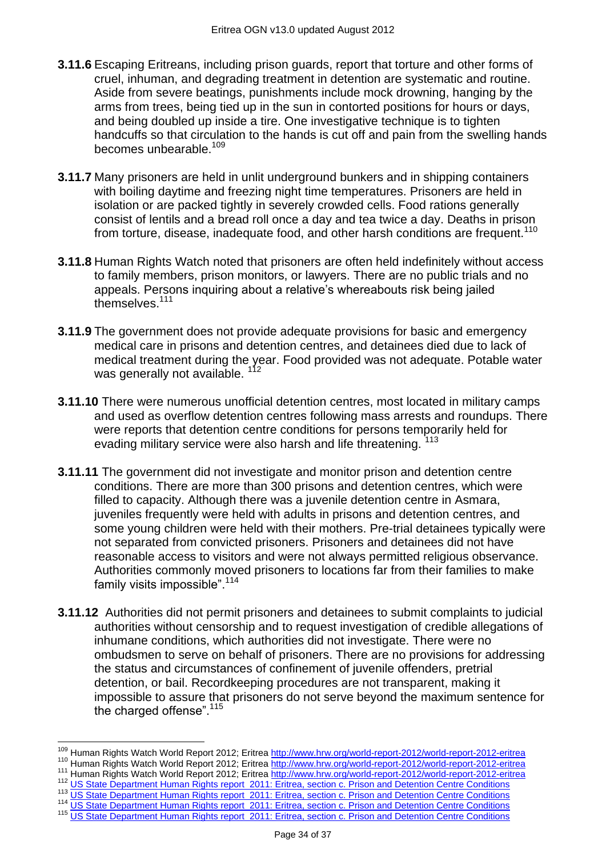- **3.11.6** Escaping Eritreans, including prison guards, report that torture and other forms of cruel, inhuman, and degrading treatment in detention are systematic and routine. Aside from severe beatings, punishments include mock drowning, hanging by the arms from trees, being tied up in the sun in contorted positions for hours or days, and being doubled up inside a tire. One investigative technique is to tighten handcuffs so that circulation to the hands is cut off and pain from the swelling hands becomes unbearable.<sup>109</sup>
- **3.11.7** Many prisoners are held in unlit underground bunkers and in shipping containers with boiling daytime and freezing night time temperatures. Prisoners are held in isolation or are packed tightly in severely crowded cells. Food rations generally consist of lentils and a bread roll once a day and tea twice a day. Deaths in prison from torture, disease, inadequate food, and other harsh conditions are frequent.<sup>110</sup>
- **3.11.8** Human Rights Watch noted that prisoners are often held indefinitely without access to family members, prison monitors, or lawyers. There are no public trials and no appeals. Persons inquiring about a relative's whereabouts risk being jailed themselves.<sup>111</sup>
- **3.11.9** The government does not provide adequate provisions for basic and emergency medical care in prisons and detention centres, and detainees died due to lack of medical treatment during the year. Food provided was not adequate. Potable water was generally not available.<sup>112</sup>
- **3.11.10** There were numerous unofficial detention centres, most located in military camps and used as overflow detention centres following mass arrests and roundups. There were reports that detention centre conditions for persons temporarily held for evading military service were also harsh and life threatening. <sup>113</sup>
- **3.11.11** The government did not investigate and monitor prison and detention centre conditions. There are more than 300 prisons and detention centres, which were filled to capacity. Although there was a juvenile detention centre in Asmara, juveniles frequently were held with adults in prisons and detention centres, and some young children were held with their mothers. Pre-trial detainees typically were not separated from convicted prisoners. Prisoners and detainees did not have reasonable access to visitors and were not always permitted religious observance. Authorities commonly moved prisoners to locations far from their families to make family visits impossible". $114$
- **3.11.12** Authorities did not permit prisoners and detainees to submit complaints to judicial authorities without censorship and to request investigation of credible allegations of inhumane conditions, which authorities did not investigate. There were no ombudsmen to serve on behalf of prisoners. There are no provisions for addressing the status and circumstances of confinement of juvenile offenders, pretrial detention, or bail. Recordkeeping procedures are not transparent, making it impossible to assure that prisoners do not serve beyond the maximum sentence for the charged offense". $115$

<sup>114</sup> US State [Department Human Rights report 2011: Eritrea,](http://www.state.gov/j/drl/rls/hrrpt/humanrightsreport/index.htm?dlid=186194#wrapper) section c. Prison and Detention Centre Conditions

 $\overline{a}$ <sup>109</sup> Human Rights Watch World Report 2012; Eritrea<http://www.hrw.org/world-report-2012/world-report-2012-eritrea>

<sup>110</sup> Human Rights Watch World Report 2012; Eritrea<http://www.hrw.org/world-report-2012/world-report-2012-eritrea>

<sup>111</sup> Human Rights Watch World Report 2012; Eritrea<http://www.hrw.org/world-report-2012/world-report-2012-eritrea> <sup>112</sup> US State [Department Human Rights report 2011: Eritrea,](http://www.state.gov/j/drl/rls/hrrpt/humanrightsreport/index.htm?dlid=186194#wrapper) section c. Prison and Detention Centre Conditions

<sup>113</sup> US State [Department Human Rights report 2011: Eritrea,](http://www.state.gov/j/drl/rls/hrrpt/humanrightsreport/index.htm?dlid=186194#wrapper) section c. Prison and Detention Centre Conditions

<sup>115</sup> US State [Department Human Rights report 2011: Eritrea,](http://www.state.gov/j/drl/rls/hrrpt/humanrightsreport/index.htm?dlid=186194#wrapper) section c. Prison and Detention Centre Conditions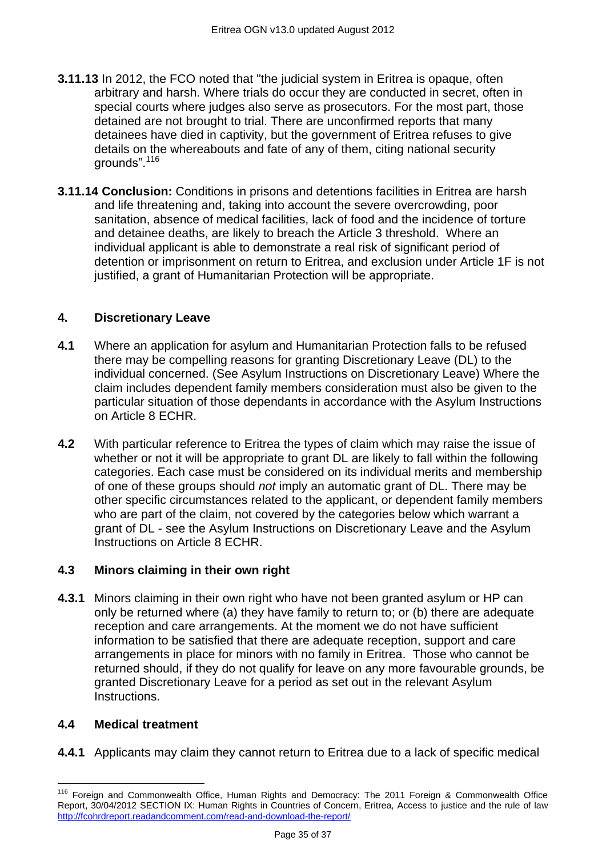- **3.11.13** In 2012, the FCO noted that "the judicial system in Eritrea is opaque, often arbitrary and harsh. Where trials do occur they are conducted in secret, often in special courts where judges also serve as prosecutors. For the most part, those detained are not brought to trial. There are unconfirmed reports that many detainees have died in captivity, but the government of Eritrea refuses to give details on the whereabouts and fate of any of them, citing national security arounds".<sup>116</sup>
- **3.11.14 Conclusion:** Conditions in prisons and detentions facilities in Eritrea are harsh and life threatening and, taking into account the severe overcrowding, poor sanitation, absence of medical facilities, lack of food and the incidence of torture and detainee deaths, are likely to breach the Article 3 threshold. Where an individual applicant is able to demonstrate a real risk of significant period of detention or imprisonment on return to Eritrea, and exclusion under Article 1F is not justified, a grant of Humanitarian Protection will be appropriate.

# <span id="page-34-0"></span>**4. Discretionary Leave**

- **4.1** Where an application for asylum and Humanitarian Protection falls to be refused there may be compelling reasons for granting Discretionary Leave (DL) to the individual concerned. (See Asylum Instructions on Discretionary Leave) Where the claim includes dependent family members consideration must also be given to the particular situation of those dependants in accordance with the Asylum Instructions on Article 8 ECHR.
- **4.2** With particular reference to Eritrea the types of claim which may raise the issue of whether or not it will be appropriate to grant DL are likely to fall within the following categories. Each case must be considered on its individual merits and membership of one of these groups should *not* imply an automatic grant of DL. There may be other specific circumstances related to the applicant, or dependent family members who are part of the claim, not covered by the categories below which warrant a grant of DL - see the Asylum Instructions on Discretionary Leave and the Asylum Instructions on Article 8 ECHR.

# <span id="page-34-1"></span>**4.3 Minors claiming in their own right**

**4.3.1** Minors claiming in their own right who have not been granted asylum or HP can only be returned where (a) they have family to return to; or (b) there are adequate reception and care arrangements. At the moment we do not have sufficient information to be satisfied that there are adequate reception, support and care arrangements in place for minors with no family in Eritrea. Those who cannot be returned should, if they do not qualify for leave on any more favourable grounds, be granted Discretionary Leave for a period as set out in the relevant Asylum Instructions.

# <span id="page-34-2"></span>**4.4 Medical treatment**

**4.4.1** Applicants may claim they cannot return to Eritrea due to a lack of specific medical

 $\overline{\phantom{a}}$ <sup>116</sup> Foreign and Commonwealth Office, Human Rights and Democracy: The 2011 Foreign & Commonwealth Office Report, 30/04/2012 SECTION IX: Human Rights in Countries of Concern, Eritrea, Access to justice and the rule of law <http://fcohrdreport.readandcomment.com/read-and-download-the-report/>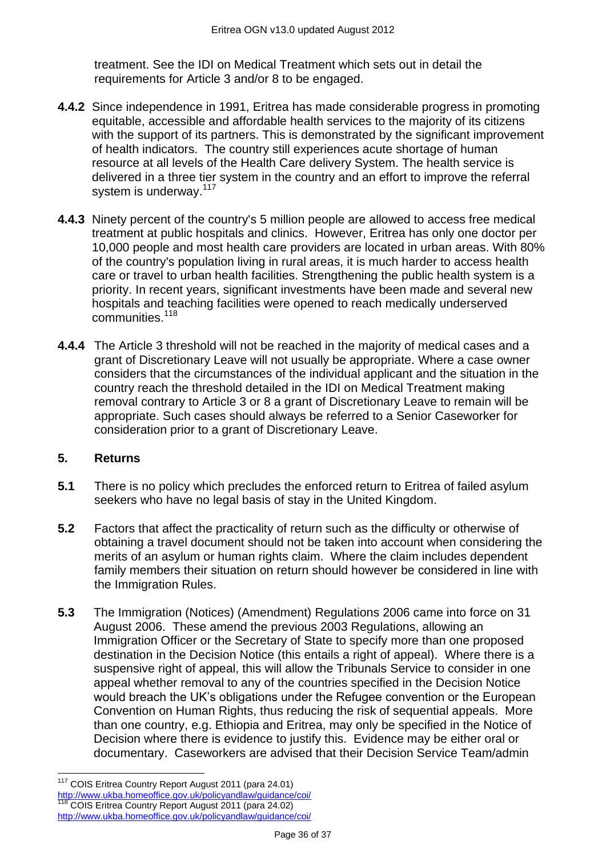treatment. See the IDI on Medical Treatment which sets out in detail the requirements for Article 3 and/or 8 to be engaged.

- **4.4.2** Since independence in 1991, Eritrea has made considerable progress in promoting equitable, accessible and affordable health services to the majority of its citizens with the support of its partners. This is demonstrated by the significant improvement of health indicators. The country still experiences acute shortage of human resource at all levels of the Health Care delivery System. The health service is delivered in a three tier system in the country and an effort to improve the referral system is underway.<sup>117</sup>
- **4.4.3** Ninety percent of the country's 5 million people are allowed to access free medical treatment at public hospitals and clinics. However, Eritrea has only one doctor per 10,000 people and most health care providers are located in urban areas. With 80% of the country's population living in rural areas, it is much harder to access health care or travel to urban health facilities. Strengthening the public health system is a priority. In recent years, significant investments have been made and several new hospitals and teaching facilities were opened to reach medically underserved communities.<sup>118</sup>
- **4.4.4** The Article 3 threshold will not be reached in the majority of medical cases and a grant of Discretionary Leave will not usually be appropriate. Where a case owner considers that the circumstances of the individual applicant and the situation in the country reach the threshold detailed in the IDI on Medical Treatment making removal contrary to Article 3 or 8 a grant of Discretionary Leave to remain will be appropriate. Such cases should always be referred to a Senior Caseworker for consideration prior to a grant of Discretionary Leave.

#### <span id="page-35-0"></span>**5. Returns**

- **5.1** There is no policy which precludes the enforced return to Eritrea of failed asylum seekers who have no legal basis of stay in the United Kingdom.
- **5.2** Factors that affect the practicality of return such as the difficulty or otherwise of obtaining a travel document should not be taken into account when considering the merits of an asylum or human rights claim. Where the claim includes dependent family members their situation on return should however be considered in line with the Immigration Rules.
- **5.3** The Immigration (Notices) (Amendment) Regulations 2006 came into force on 31 August 2006. These amend the previous 2003 Regulations, allowing an Immigration Officer or the Secretary of State to specify more than one proposed destination in the Decision Notice (this entails a right of appeal). Where there is a suspensive right of appeal, this will allow the Tribunals Service to consider in one appeal whether removal to any of the countries specified in the Decision Notice would breach the UK's obligations under the Refugee convention or the European Convention on Human Rights, thus reducing the risk of sequential appeals. More than one country, e.g. Ethiopia and Eritrea, may only be specified in the Notice of Decision where there is evidence to justify this. Evidence may be either oral or documentary. Caseworkers are advised that their Decision Service Team/admin

 $\overline{a}$ <sup>117</sup> COIS Eritrea Country Report August 2011 (para 24.01) <http://www.ukba.homeoffice.gov.uk/policyandlaw/guidance/coi/> COIS Eritrea Country Report August 2011 (para 24.02) <http://www.ukba.homeoffice.gov.uk/policyandlaw/guidance/coi/>